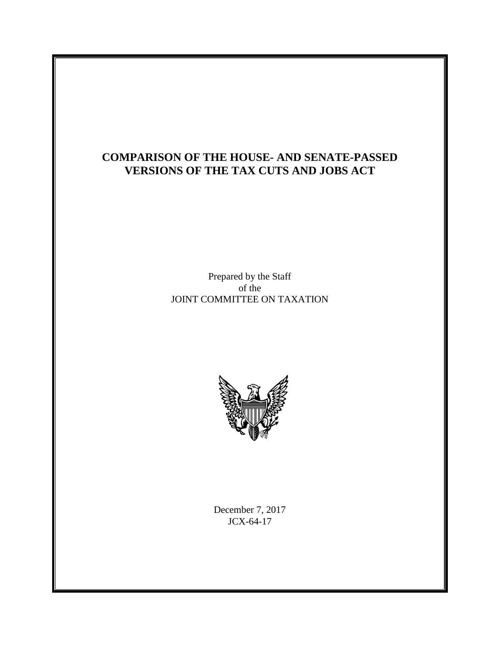# **COMPARISON OF THE HOUSE- AND SENATE-PASSED VERSIONS OF THE TAX CUTS AND JOBS ACT**

Prepared by the Staff of the JOINT COMMITTEE ON TAXATION



December 7, 2017 JCX-64-17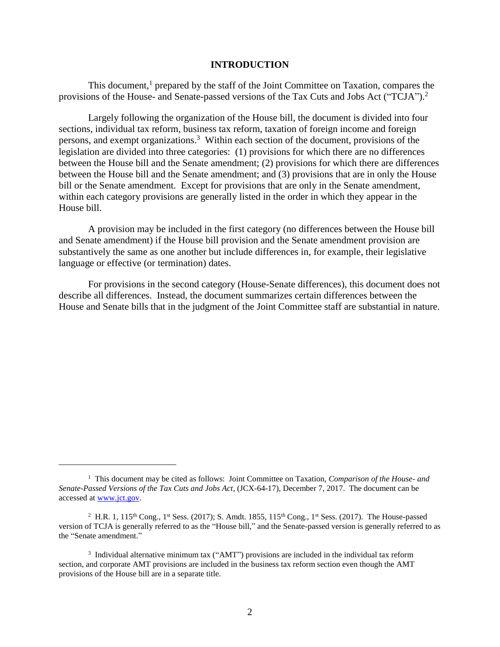#### **INTRODUCTION**

This document, $<sup>1</sup>$  prepared by the staff of the Joint Committee on Taxation, compares the</sup> provisions of the House- and Senate-passed versions of the Tax Cuts and Jobs Act ("TCJA").<sup>2</sup>

Largely following the organization of the House bill, the document is divided into four sections, individual tax reform, business tax reform, taxation of foreign income and foreign persons, and exempt organizations.<sup>3</sup> Within each section of the document, provisions of the legislation are divided into three categories: (1) provisions for which there are no differences between the House bill and the Senate amendment; (2) provisions for which there are differences between the House bill and the Senate amendment; and (3) provisions that are in only the House bill or the Senate amendment. Except for provisions that are only in the Senate amendment, within each category provisions are generally listed in the order in which they appear in the House bill.

A provision may be included in the first category (no differences between the House bill and Senate amendment) if the House bill provision and the Senate amendment provision are substantively the same as one another but include differences in, for example, their legislative language or effective (or termination) dates.

For provisions in the second category (House-Senate differences), this document does not describe all differences. Instead, the document summarizes certain differences between the House and Senate bills that in the judgment of the Joint Committee staff are substantial in nature.

<sup>1</sup> This document may be cited as follows: Joint Committee on Taxation, *Comparison of the House- and Senate-Passed Versions of the Tax Cuts and Jobs Act*, (JCX-64-17), December 7, 2017. The document can be accessed at [www.jct.gov.](http://www.jct.gov/)

<sup>&</sup>lt;sup>2</sup> H.R. 1, 115<sup>th</sup> Cong., 1<sup>st</sup> Sess. (2017); S. Amdt. 1855, 115<sup>th</sup> Cong., 1<sup>st</sup> Sess. (2017). The House-passed version of TCJA is generally referred to as the "House bill," and the Senate-passed version is generally referred to as the "Senate amendment."

<sup>&</sup>lt;sup>3</sup> Individual alternative minimum tax ("AMT") provisions are included in the individual tax reform section, and corporate AMT provisions are included in the business tax reform section even though the AMT provisions of the House bill are in a separate title.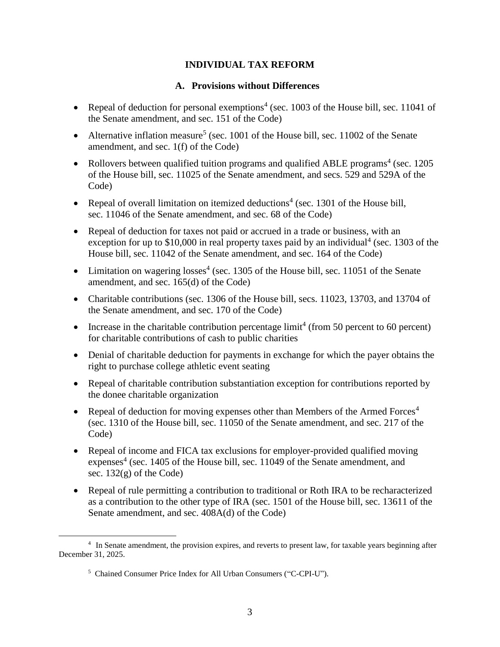## **INDIVIDUAL TAX REFORM**

#### **A. Provisions without Differences**

- Repeal of deduction for personal exemptions<sup>4</sup> (sec. 1003 of the House bill, sec. 11041 of the Senate amendment, and sec. 151 of the Code)
- Alternative inflation measure<sup>5</sup> (sec. 1001 of the House bill, sec. 11002 of the Senate amendment, and sec. 1(f) of the Code)
- Rollovers between qualified tuition programs and qualified ABLE programs<sup>4</sup> (sec. 1205) of the House bill, sec. 11025 of the Senate amendment, and secs. 529 and 529A of the Code)
- Repeal of overall limitation on itemized deductions<sup>4</sup> (sec. 1301 of the House bill, sec. 11046 of the Senate amendment, and sec. 68 of the Code)
- Repeal of deduction for taxes not paid or accrued in a trade or business, with an exception for up to  $$10,000$  in real property taxes paid by an individual<sup>4</sup> (sec. 1303 of the House bill, sec. 11042 of the Senate amendment, and sec. 164 of the Code)
- Limitation on wagering  $losses<sup>4</sup>$  (sec. 1305 of the House bill, sec. 11051 of the Senate amendment, and sec. 165(d) of the Code)
- Charitable contributions (sec. 1306 of the House bill, secs. 11023, 13703, and 13704 of the Senate amendment, and sec. 170 of the Code)
- Increase in the charitable contribution percentage  $\lim_{x \to 0} t^4$  (from 50 percent to 60 percent) for charitable contributions of cash to public charities
- Denial of charitable deduction for payments in exchange for which the payer obtains the right to purchase college athletic event seating
- Repeal of charitable contribution substantiation exception for contributions reported by the donee charitable organization
- Repeal of deduction for moving expenses other than Members of the Armed Forces<sup>4</sup> (sec. 1310 of the House bill, sec. 11050 of the Senate amendment, and sec. 217 of the Code)
- Repeal of income and FICA tax exclusions for employer-provided qualified moving expenses<sup>4</sup> (sec. 1405 of the House bill, sec. 11049 of the Senate amendment, and sec.  $132(g)$  of the Code)
- Repeal of rule permitting a contribution to traditional or Roth IRA to be recharacterized as a contribution to the other type of IRA (sec. 1501 of the House bill, sec. 13611 of the Senate amendment, and sec. 408A(d) of the Code)

<sup>&</sup>lt;sup>4</sup> In Senate amendment, the provision expires, and reverts to present law, for taxable years beginning after December 31, 2025.

<sup>&</sup>lt;sup>5</sup> Chained Consumer Price Index for All Urban Consumers ("C-CPI-U").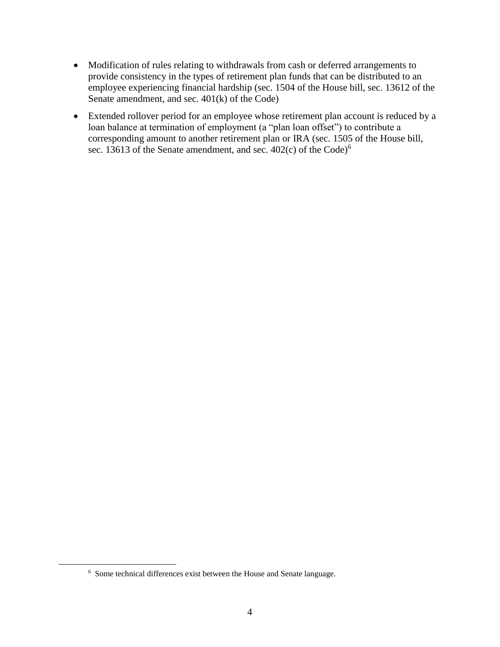- Modification of rules relating to withdrawals from cash or deferred arrangements to provide consistency in the types of retirement plan funds that can be distributed to an employee experiencing financial hardship (sec. 1504 of the House bill, sec. 13612 of the Senate amendment, and sec. 401(k) of the Code)
- Extended rollover period for an employee whose retirement plan account is reduced by a loan balance at termination of employment (a "plan loan offset") to contribute a corresponding amount to another retirement plan or IRA (sec. 1505 of the House bill, sec. 13613 of the Senate amendment, and sec. 402(c) of the Code)<sup>6</sup>

<sup>&</sup>lt;sup>6</sup> Some technical differences exist between the House and Senate language.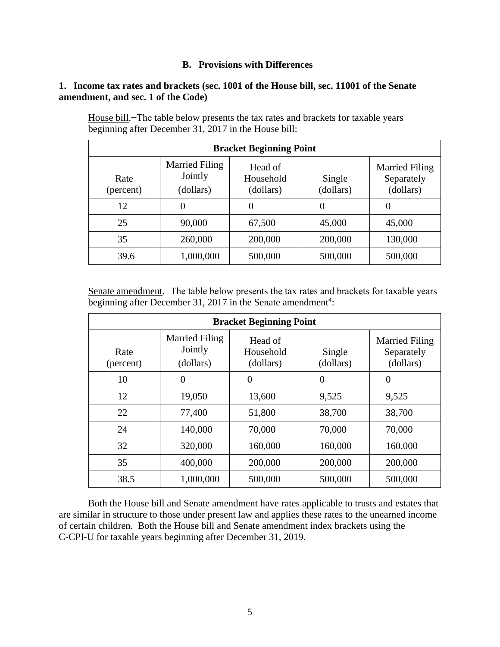### **B. Provisions with Differences**

### **1. Income tax rates and brackets (sec. 1001 of the House bill, sec. 11001 of the Senate amendment, and sec. 1 of the Code)**

| <b>Bracket Beginning Point</b> |                                               |                                   |                     |                                                  |
|--------------------------------|-----------------------------------------------|-----------------------------------|---------------------|--------------------------------------------------|
| Rate<br>(percent)              | <b>Married Filing</b><br>Jointly<br>(dollars) | Head of<br>Household<br>(dollars) | Single<br>(dollars) | <b>Married Filing</b><br>Separately<br>(dollars) |
| 12                             | 0                                             | 0                                 | 0                   |                                                  |
| 25                             | 90,000                                        | 67,500                            | 45,000              | 45,000                                           |
| 35                             | 260,000                                       | 200,000                           | 200,000             | 130,000                                          |
| 39.6                           | 1,000,000                                     | 500,000                           | 500,000             | 500,000                                          |

House bill.−The table below presents the tax rates and brackets for taxable years beginning after December 31, 2017 in the House bill:

Senate amendment.−The table below presents the tax rates and brackets for taxable years beginning after December 31, 2017 in the Senate amendment<sup>4</sup>:

| <b>Bracket Beginning Point</b> |                                               |                                   |                     |                                                  |
|--------------------------------|-----------------------------------------------|-----------------------------------|---------------------|--------------------------------------------------|
| Rate<br>(percent)              | <b>Married Filing</b><br>Jointly<br>(dollars) | Head of<br>Household<br>(dollars) | Single<br>(dollars) | <b>Married Filing</b><br>Separately<br>(dollars) |
| 10                             | 0                                             | $\theta$                          | $\theta$            | $\overline{0}$                                   |
| 12                             | 19,050                                        | 13,600                            | 9,525               | 9,525                                            |
| 22                             | 77,400                                        | 51,800                            | 38,700              | 38,700                                           |
| 24                             | 140,000                                       | 70,000                            | 70,000              | 70,000                                           |
| 32                             | 320,000                                       | 160,000                           | 160,000             | 160,000                                          |
| 35                             | 400,000                                       | 200,000                           | 200,000             | 200,000                                          |
| 38.5                           | 1,000,000                                     | 500,000                           | 500,000             | 500,000                                          |

Both the House bill and Senate amendment have rates applicable to trusts and estates that are similar in structure to those under present law and applies these rates to the unearned income of certain children. Both the House bill and Senate amendment index brackets using the C-CPI-U for taxable years beginning after December 31, 2019.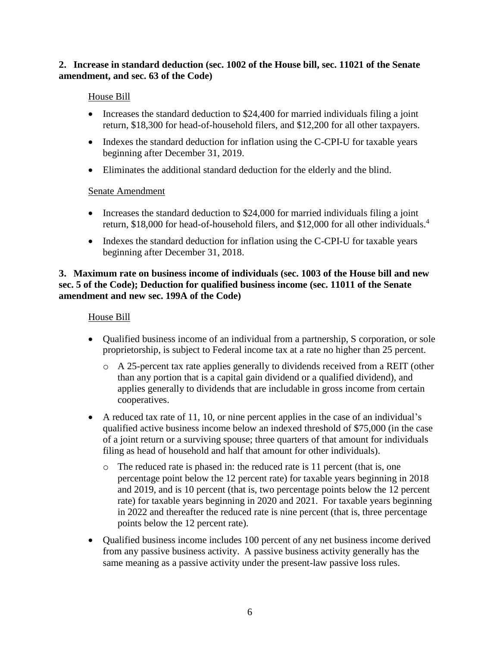## **2. Increase in standard deduction (sec. 1002 of the House bill, sec. 11021 of the Senate amendment, and sec. 63 of the Code)**

## House Bill

- Increases the standard deduction to \$24,400 for married individuals filing a joint return, \$18,300 for head-of-household filers, and \$12,200 for all other taxpayers.
- Indexes the standard deduction for inflation using the C-CPI-U for taxable years beginning after December 31, 2019.
- Eliminates the additional standard deduction for the elderly and the blind.

### Senate Amendment

- Increases the standard deduction to \$24,000 for married individuals filing a joint return, \$18,000 for head-of-household filers, and \$12,000 for all other individuals.<sup>4</sup>
- Indexes the standard deduction for inflation using the C-CPI-U for taxable years beginning after December 31, 2018.

## **3. Maximum rate on business income of individuals (sec. 1003 of the House bill and new sec. 5 of the Code); Deduction for qualified business income (sec. 11011 of the Senate amendment and new sec. 199A of the Code)**

### House Bill

- Qualified business income of an individual from a partnership, S corporation, or sole proprietorship, is subject to Federal income tax at a rate no higher than 25 percent.
	- o A 25-percent tax rate applies generally to dividends received from a REIT (other than any portion that is a capital gain dividend or a qualified dividend), and applies generally to dividends that are includable in gross income from certain cooperatives.
- A reduced tax rate of 11, 10, or nine percent applies in the case of an individual's qualified active business income below an indexed threshold of \$75,000 (in the case of a joint return or a surviving spouse; three quarters of that amount for individuals filing as head of household and half that amount for other individuals).
	- o The reduced rate is phased in: the reduced rate is 11 percent (that is, one percentage point below the 12 percent rate) for taxable years beginning in 2018 and 2019, and is 10 percent (that is, two percentage points below the 12 percent rate) for taxable years beginning in 2020 and 2021. For taxable years beginning in 2022 and thereafter the reduced rate is nine percent (that is, three percentage points below the 12 percent rate).
- Qualified business income includes 100 percent of any net business income derived from any passive business activity. A passive business activity generally has the same meaning as a passive activity under the present-law passive loss rules.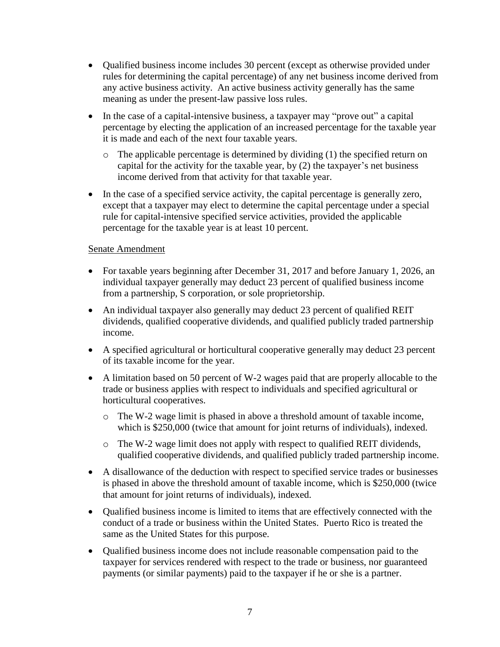- Qualified business income includes 30 percent (except as otherwise provided under rules for determining the capital percentage) of any net business income derived from any active business activity. An active business activity generally has the same meaning as under the present-law passive loss rules.
- In the case of a capital-intensive business, a taxpayer may "prove out" a capital percentage by electing the application of an increased percentage for the taxable year it is made and each of the next four taxable years.
	- $\circ$  The applicable percentage is determined by dividing (1) the specified return on capital for the activity for the taxable year, by (2) the taxpayer's net business income derived from that activity for that taxable year.
- In the case of a specified service activity, the capital percentage is generally zero, except that a taxpayer may elect to determine the capital percentage under a special rule for capital-intensive specified service activities, provided the applicable percentage for the taxable year is at least 10 percent.

- For taxable years beginning after December 31, 2017 and before January 1, 2026, an individual taxpayer generally may deduct 23 percent of qualified business income from a partnership, S corporation, or sole proprietorship.
- An individual taxpayer also generally may deduct 23 percent of qualified REIT dividends, qualified cooperative dividends, and qualified publicly traded partnership income.
- A specified agricultural or horticultural cooperative generally may deduct 23 percent of its taxable income for the year.
- A limitation based on 50 percent of W-2 wages paid that are properly allocable to the trade or business applies with respect to individuals and specified agricultural or horticultural cooperatives.
	- o The W-2 wage limit is phased in above a threshold amount of taxable income, which is \$250,000 (twice that amount for joint returns of individuals), indexed.
	- o The W-2 wage limit does not apply with respect to qualified REIT dividends, qualified cooperative dividends, and qualified publicly traded partnership income.
- A disallowance of the deduction with respect to specified service trades or businesses is phased in above the threshold amount of taxable income, which is \$250,000 (twice that amount for joint returns of individuals), indexed.
- Qualified business income is limited to items that are effectively connected with the conduct of a trade or business within the United States. Puerto Rico is treated the same as the United States for this purpose.
- Qualified business income does not include reasonable compensation paid to the taxpayer for services rendered with respect to the trade or business, nor guaranteed payments (or similar payments) paid to the taxpayer if he or she is a partner.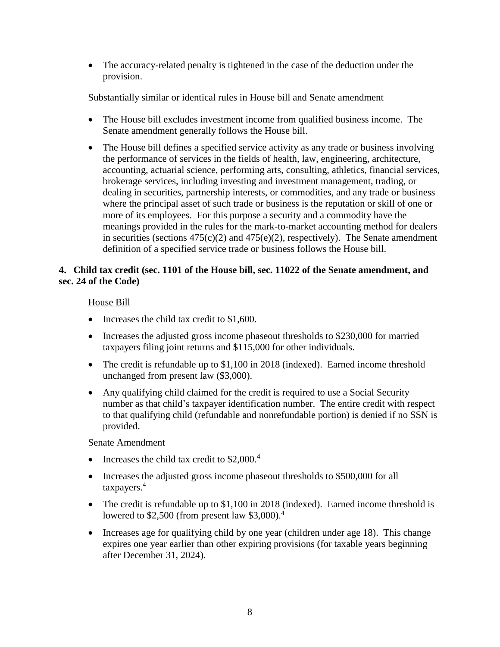• The accuracy-related penalty is tightened in the case of the deduction under the provision.

## Substantially similar or identical rules in House bill and Senate amendment

- The House bill excludes investment income from qualified business income. The Senate amendment generally follows the House bill.
- The House bill defines a specified service activity as any trade or business involving the performance of services in the fields of health, law, engineering, architecture, accounting, actuarial science, performing arts, consulting, athletics, financial services, brokerage services, including investing and investment management, trading, or dealing in securities, partnership interests, or commodities, and any trade or business where the principal asset of such trade or business is the reputation or skill of one or more of its employees. For this purpose a security and a commodity have the meanings provided in the rules for the mark-to-market accounting method for dealers in securities (sections  $475(c)(2)$  and  $475(e)(2)$ , respectively). The Senate amendment definition of a specified service trade or business follows the House bill.

## **4. Child tax credit (sec. 1101 of the House bill, sec. 11022 of the Senate amendment, and sec. 24 of the Code)**

### House Bill

- $\bullet$  Increases the child tax credit to \$1,600.
- Increases the adjusted gross income phaseout thresholds to \$230,000 for married taxpayers filing joint returns and \$115,000 for other individuals.
- The credit is refundable up to \$1,100 in 2018 (indexed). Earned income threshold unchanged from present law (\$3,000).
- Any qualifying child claimed for the credit is required to use a Social Security number as that child's taxpayer identification number. The entire credit with respect to that qualifying child (refundable and nonrefundable portion) is denied if no SSN is provided.

- Increases the child tax credit to  $$2,000.<sup>4</sup>$
- Increases the adjusted gross income phaseout thresholds to \$500,000 for all taxpayers.<sup>4</sup>
- The credit is refundable up to \$1,100 in 2018 (indexed). Earned income threshold is lowered to  $$2,500$  (from present law  $$3,000$ ).<sup>4</sup>
- Increases age for qualifying child by one year (children under age 18). This change expires one year earlier than other expiring provisions (for taxable years beginning after December 31, 2024).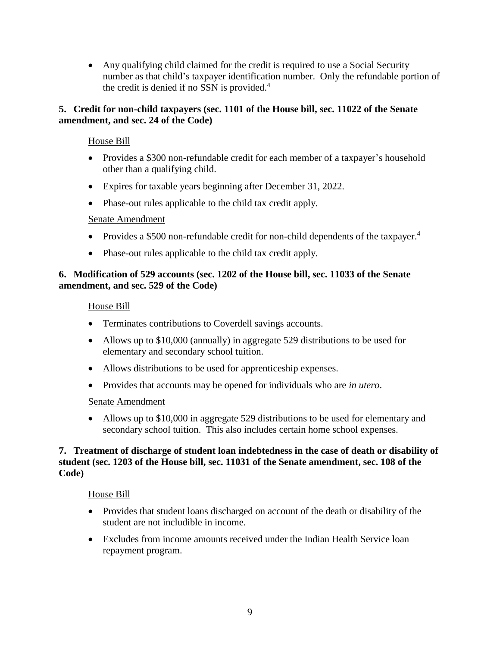Any qualifying child claimed for the credit is required to use a Social Security number as that child's taxpayer identification number. Only the refundable portion of the credit is denied if no SSN is provided. $4$ 

## **5. Credit for non-child taxpayers (sec. 1101 of the House bill, sec. 11022 of the Senate amendment, and sec. 24 of the Code)**

## House Bill

- Provides a \$300 non-refundable credit for each member of a taxpayer's household other than a qualifying child.
- Expires for taxable years beginning after December 31, 2022.
- Phase-out rules applicable to the child tax credit apply.

### Senate Amendment

- Provides a \$500 non-refundable credit for non-child dependents of the taxpayer.<sup>4</sup>
- Phase-out rules applicable to the child tax credit apply.

## **6. Modification of 529 accounts (sec. 1202 of the House bill, sec. 11033 of the Senate amendment, and sec. 529 of the Code)**

### House Bill

- Terminates contributions to Coverdell savings accounts.
- Allows up to \$10,000 (annually) in aggregate 529 distributions to be used for elementary and secondary school tuition.
- Allows distributions to be used for apprenticeship expenses.
- Provides that accounts may be opened for individuals who are *in utero*.

### Senate Amendment

 Allows up to \$10,000 in aggregate 529 distributions to be used for elementary and secondary school tuition. This also includes certain home school expenses.

### **7. Treatment of discharge of student loan indebtedness in the case of death or disability of student (sec. 1203 of the House bill, sec. 11031 of the Senate amendment, sec. 108 of the Code)**

## House Bill

- Provides that student loans discharged on account of the death or disability of the student are not includible in income.
- Excludes from income amounts received under the Indian Health Service loan repayment program.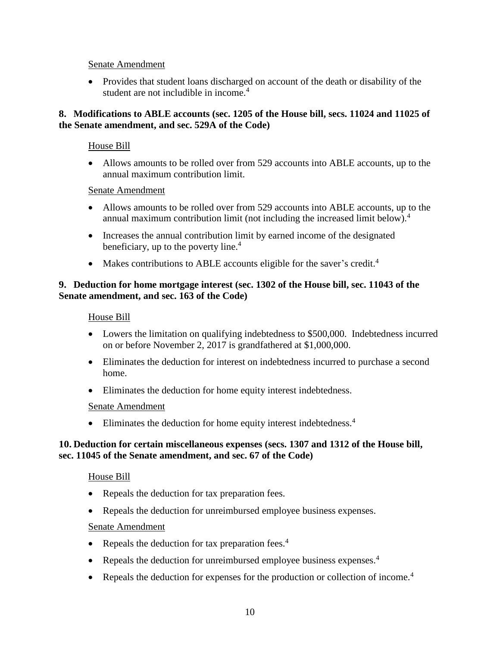• Provides that student loans discharged on account of the death or disability of the student are not includible in income.<sup>4</sup>

### **8. Modifications to ABLE accounts (sec. 1205 of the House bill, secs. 11024 and 11025 of the Senate amendment, and sec. 529A of the Code)**

### House Bill

 Allows amounts to be rolled over from 529 accounts into ABLE accounts, up to the annual maximum contribution limit.

#### Senate Amendment

- Allows amounts to be rolled over from 529 accounts into ABLE accounts, up to the annual maximum contribution limit (not including the increased limit below).<sup>4</sup>
- Increases the annual contribution limit by earned income of the designated beneficiary, up to the poverty line. $4$
- Makes contributions to ABLE accounts eligible for the saver's credit.<sup>4</sup>

## **9. Deduction for home mortgage interest (sec. 1302 of the House bill, sec. 11043 of the Senate amendment, and sec. 163 of the Code)**

### House Bill

- Lowers the limitation on qualifying indebtedness to \$500,000. Indebtedness incurred on or before November 2, 2017 is grandfathered at \$1,000,000.
- Eliminates the deduction for interest on indebtedness incurred to purchase a second home.
- Eliminates the deduction for home equity interest indebtedness.

### Senate Amendment

• Eliminates the deduction for home equity interest indebtedness.<sup>4</sup>

### **10. Deduction for certain miscellaneous expenses (secs. 1307 and 1312 of the House bill, sec. 11045 of the Senate amendment, and sec. 67 of the Code)**

### House Bill

- Repeals the deduction for tax preparation fees.
- Repeals the deduction for unreimbursed employee business expenses.

- Repeals the deduction for tax preparation fees.<sup>4</sup>
- Repeals the deduction for unreimbursed employee business expenses.<sup>4</sup>
- Repeals the deduction for expenses for the production or collection of income.<sup>4</sup>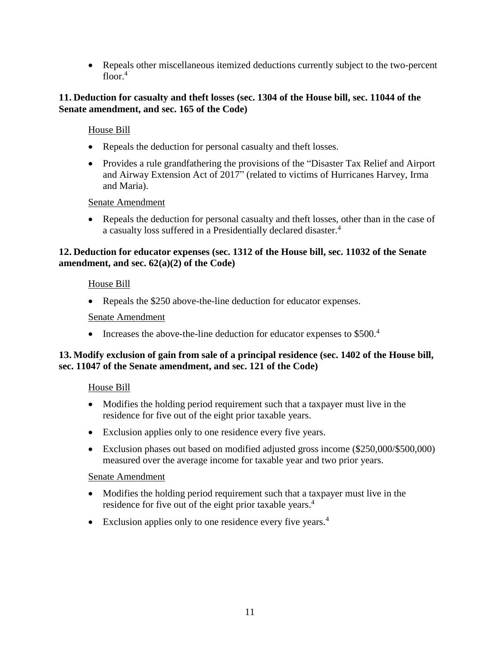Repeals other miscellaneous itemized deductions currently subject to the two-percent floor. $4$ 

### **11. Deduction for casualty and theft losses (sec. 1304 of the House bill, sec. 11044 of the Senate amendment, and sec. 165 of the Code)**

House Bill

- Repeals the deduction for personal casualty and theft losses.
- Provides a rule grandfathering the provisions of the "Disaster Tax Relief and Airport and Airway Extension Act of 2017" (related to victims of Hurricanes Harvey, Irma and Maria).

Senate Amendment

• Repeals the deduction for personal casualty and theft losses, other than in the case of a casualty loss suffered in a Presidentially declared disaster.<sup>4</sup>

# **12. Deduction for educator expenses (sec. 1312 of the House bill, sec. 11032 of the Senate amendment, and sec. 62(a)(2) of the Code)**

House Bill

• Repeals the \$250 above-the-line deduction for educator expenses.

### Senate Amendment

Increases the above-the-line deduction for educator expenses to  $$500<sup>4</sup>$ 

### **13. Modify exclusion of gain from sale of a principal residence (sec. 1402 of the House bill, sec. 11047 of the Senate amendment, and sec. 121 of the Code)**

## House Bill

- Modifies the holding period requirement such that a taxpayer must live in the residence for five out of the eight prior taxable years.
- Exclusion applies only to one residence every five years.
- Exclusion phases out based on modified adjusted gross income (\$250,000/\$500,000) measured over the average income for taxable year and two prior years.

- Modifies the holding period requirement such that a taxpayer must live in the residence for five out of the eight prior taxable years.<sup>4</sup>
- Exclusion applies only to one residence every five years.<sup>4</sup>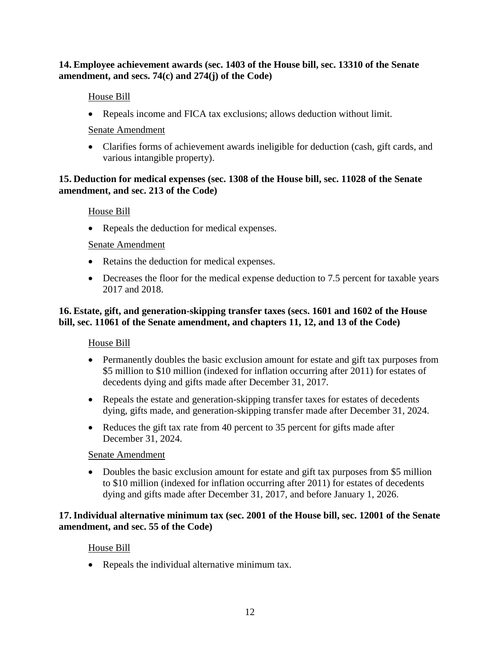## **14. Employee achievement awards (sec. 1403 of the House bill, sec. 13310 of the Senate amendment, and secs. 74(c) and 274(j) of the Code)**

# House Bill

Repeals income and FICA tax exclusions; allows deduction without limit.

# Senate Amendment

 Clarifies forms of achievement awards ineligible for deduction (cash, gift cards, and various intangible property).

## **15. Deduction for medical expenses (sec. 1308 of the House bill, sec. 11028 of the Senate amendment, and sec. 213 of the Code)**

## House Bill

• Repeals the deduction for medical expenses.

## Senate Amendment

- Retains the deduction for medical expenses.
- Decreases the floor for the medical expense deduction to 7.5 percent for taxable years 2017 and 2018.

# **16. Estate, gift, and generation-skipping transfer taxes (secs. 1601 and 1602 of the House bill, sec. 11061 of the Senate amendment, and chapters 11, 12, and 13 of the Code)**

## House Bill

- Permanently doubles the basic exclusion amount for estate and gift tax purposes from \$5 million to \$10 million (indexed for inflation occurring after 2011) for estates of decedents dying and gifts made after December 31, 2017.
- Repeals the estate and generation-skipping transfer taxes for estates of decedents dying, gifts made, and generation-skipping transfer made after December 31, 2024.
- Reduces the gift tax rate from 40 percent to 35 percent for gifts made after December 31, 2024.

## Senate Amendment

• Doubles the basic exclusion amount for estate and gift tax purposes from \$5 million to \$10 million (indexed for inflation occurring after 2011) for estates of decedents dying and gifts made after December 31, 2017, and before January 1, 2026.

## **17.Individual alternative minimum tax (sec. 2001 of the House bill, sec. 12001 of the Senate amendment, and sec. 55 of the Code)**

# House Bill

• Repeals the individual alternative minimum tax.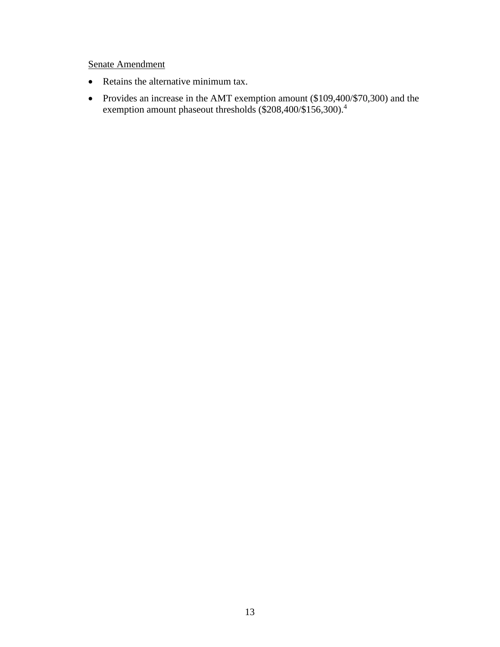- Retains the alternative minimum tax.
- Provides an increase in the AMT exemption amount (\$109,400/\$70,300) and the exemption amount phaseout thresholds (\$208,400/\$156,300).<sup>4</sup>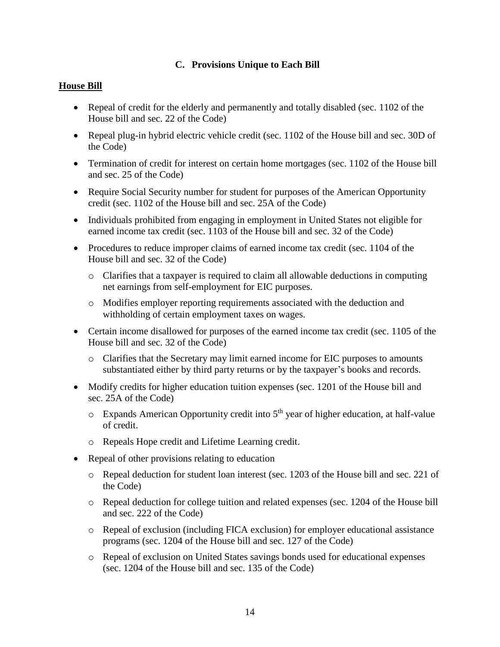# **C. Provisions Unique to Each Bill**

## **House Bill**

- Repeal of credit for the elderly and permanently and totally disabled (sec. 1102 of the House bill and sec. 22 of the Code)
- Repeal plug-in hybrid electric vehicle credit (sec. 1102 of the House bill and sec. 30D of the Code)
- Termination of credit for interest on certain home mortgages (sec. 1102 of the House bill and sec. 25 of the Code)
- Require Social Security number for student for purposes of the American Opportunity credit (sec. 1102 of the House bill and sec. 25A of the Code)
- Individuals prohibited from engaging in employment in United States not eligible for earned income tax credit (sec. 1103 of the House bill and sec. 32 of the Code)
- Procedures to reduce improper claims of earned income tax credit (sec. 1104 of the House bill and sec. 32 of the Code)
	- o Clarifies that a taxpayer is required to claim all allowable deductions in computing net earnings from self-employment for EIC purposes.
	- o Modifies employer reporting requirements associated with the deduction and withholding of certain employment taxes on wages.
- Certain income disallowed for purposes of the earned income tax credit (sec. 1105 of the House bill and sec. 32 of the Code)
	- o Clarifies that the Secretary may limit earned income for EIC purposes to amounts substantiated either by third party returns or by the taxpayer's books and records.
- Modify credits for higher education tuition expenses (sec. 1201 of the House bill and sec. 25A of the Code)
	- $\circ$  Expands American Opportunity credit into  $5<sup>th</sup>$  year of higher education, at half-value of credit.
	- o Repeals Hope credit and Lifetime Learning credit.
- Repeal of other provisions relating to education
	- o Repeal deduction for student loan interest (sec. 1203 of the House bill and sec. 221 of the Code)
	- o Repeal deduction for college tuition and related expenses (sec. 1204 of the House bill and sec. 222 of the Code)
	- o Repeal of exclusion (including FICA exclusion) for employer educational assistance programs (sec. 1204 of the House bill and sec. 127 of the Code)
	- o Repeal of exclusion on United States savings bonds used for educational expenses (sec. 1204 of the House bill and sec. 135 of the Code)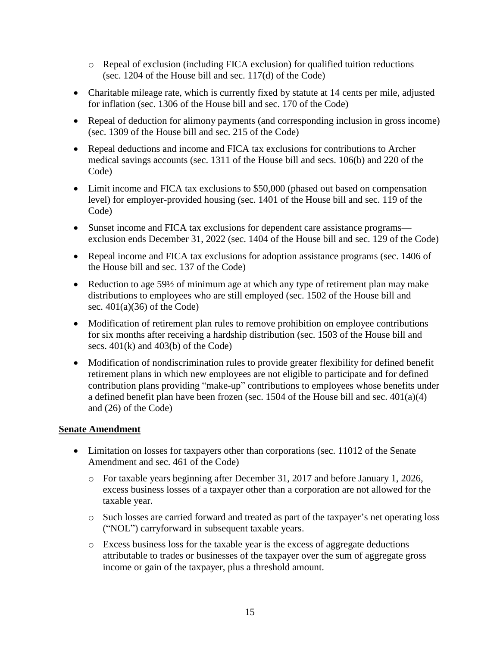- o Repeal of exclusion (including FICA exclusion) for qualified tuition reductions (sec. 1204 of the House bill and sec. 117(d) of the Code)
- Charitable mileage rate, which is currently fixed by statute at 14 cents per mile, adjusted for inflation (sec. 1306 of the House bill and sec. 170 of the Code)
- Repeal of deduction for alimony payments (and corresponding inclusion in gross income) (sec. 1309 of the House bill and sec. 215 of the Code)
- Repeal deductions and income and FICA tax exclusions for contributions to Archer medical savings accounts (sec. 1311 of the House bill and secs. 106(b) and 220 of the Code)
- Limit income and FICA tax exclusions to \$50,000 (phased out based on compensation level) for employer-provided housing (sec. 1401 of the House bill and sec. 119 of the Code)
- Sunset income and FICA tax exclusions for dependent care assistance programs exclusion ends December 31, 2022 (sec. 1404 of the House bill and sec. 129 of the Code)
- Repeal income and FICA tax exclusions for adoption assistance programs (sec. 1406 of the House bill and sec. 137 of the Code)
- Reduction to age 59½ of minimum age at which any type of retirement plan may make distributions to employees who are still employed (sec. 1502 of the House bill and sec.  $401(a)(36)$  of the Code)
- Modification of retirement plan rules to remove prohibition on employee contributions for six months after receiving a hardship distribution (sec. 1503 of the House bill and secs. 401(k) and 403(b) of the Code)
- Modification of nondiscrimination rules to provide greater flexibility for defined benefit retirement plans in which new employees are not eligible to participate and for defined contribution plans providing "make-up" contributions to employees whose benefits under a defined benefit plan have been frozen (sec. 1504 of the House bill and sec. 401(a)(4) and (26) of the Code)

- Limitation on losses for taxpayers other than corporations (sec. 11012 of the Senate Amendment and sec. 461 of the Code)
	- o For taxable years beginning after December 31, 2017 and before January 1, 2026, excess business losses of a taxpayer other than a corporation are not allowed for the taxable year.
	- o Such losses are carried forward and treated as part of the taxpayer's net operating loss ("NOL") carryforward in subsequent taxable years.
	- o Excess business loss for the taxable year is the excess of aggregate deductions attributable to trades or businesses of the taxpayer over the sum of aggregate gross income or gain of the taxpayer, plus a threshold amount.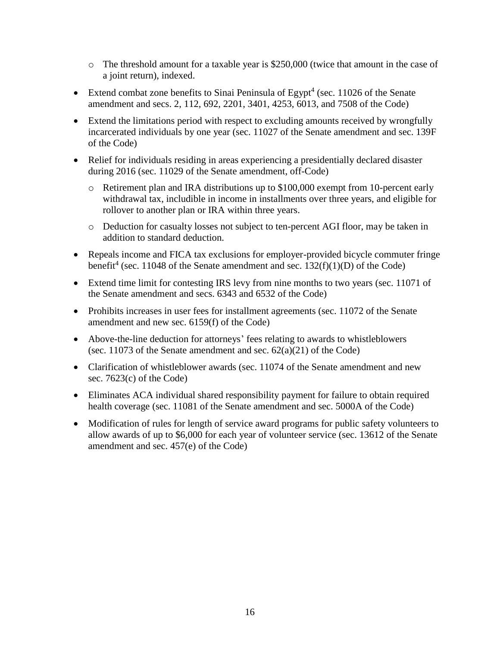- $\circ$  The threshold amount for a taxable year is \$250,000 (twice that amount in the case of a joint return), indexed.
- Extend combat zone benefits to Sinai Peninsula of Egypt<sup>4</sup> (sec. 11026 of the Senate amendment and secs. 2, 112, 692, 2201, 3401, 4253, 6013, and 7508 of the Code)
- Extend the limitations period with respect to excluding amounts received by wrongfully incarcerated individuals by one year (sec. 11027 of the Senate amendment and sec. 139F of the Code)
- Relief for individuals residing in areas experiencing a presidentially declared disaster during 2016 (sec. 11029 of the Senate amendment, off-Code)
	- o Retirement plan and IRA distributions up to \$100,000 exempt from 10-percent early withdrawal tax, includible in income in installments over three years, and eligible for rollover to another plan or IRA within three years.
	- o Deduction for casualty losses not subject to ten-percent AGI floor, may be taken in addition to standard deduction.
- Repeals income and FICA tax exclusions for employer-provided bicycle commuter fringe benefit<sup>4</sup> (sec. 11048 of the Senate amendment and sec. 132(f)(1)(D) of the Code)
- Extend time limit for contesting IRS levy from nine months to two years (sec. 11071 of the Senate amendment and secs. 6343 and 6532 of the Code)
- Prohibits increases in user fees for installment agreements (sec. 11072 of the Senate amendment and new sec. 6159(f) of the Code)
- Above-the-line deduction for attorneys' fees relating to awards to whistleblowers (sec. 11073 of the Senate amendment and sec.  $62(a)(21)$  of the Code)
- Clarification of whistleblower awards (sec. 11074 of the Senate amendment and new sec. 7623(c) of the Code)
- Eliminates ACA individual shared responsibility payment for failure to obtain required health coverage (sec. 11081 of the Senate amendment and sec. 5000A of the Code)
- Modification of rules for length of service award programs for public safety volunteers to allow awards of up to \$6,000 for each year of volunteer service (sec. 13612 of the Senate amendment and sec. 457(e) of the Code)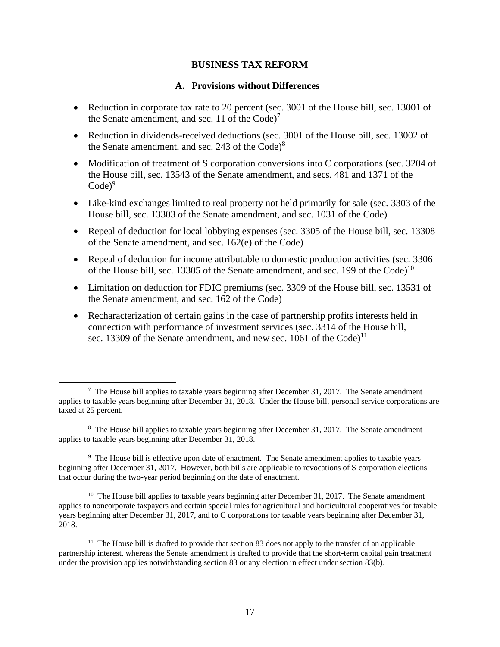#### **BUSINESS TAX REFORM**

#### **A. Provisions without Differences**

- Reduction in corporate tax rate to 20 percent (sec. 3001 of the House bill, sec. 13001 of the Senate amendment, and sec. 11 of the  $Code$ <sup>7</sup>
- Reduction in dividends-received deductions (sec. 3001 of the House bill, sec. 13002 of the Senate amendment, and sec. 243 of the  $Code)^8$
- Modification of treatment of S corporation conversions into C corporations (sec. 3204 of the House bill, sec. 13543 of the Senate amendment, and secs. 481 and 1371 of the  $Code)^9$
- Like-kind exchanges limited to real property not held primarily for sale (sec. 3303 of the House bill, sec. 13303 of the Senate amendment, and sec. 1031 of the Code)
- Repeal of deduction for local lobbying expenses (sec. 3305 of the House bill, sec. 13308 of the Senate amendment, and sec. 162(e) of the Code)
- Repeal of deduction for income attributable to domestic production activities (sec. 3306) of the House bill, sec. 13305 of the Senate amendment, and sec. 199 of the Code)<sup>10</sup>
- Limitation on deduction for FDIC premiums (sec. 3309 of the House bill, sec. 13531 of the Senate amendment, and sec. 162 of the Code)
- Recharacterization of certain gains in the case of partnership profits interests held in connection with performance of investment services (sec. 3314 of the House bill, sec. 13309 of the Senate amendment, and new sec. 1061 of the Code)<sup>11</sup>

 $\overline{a}$ 

<sup>9</sup> The House bill is effective upon date of enactment. The Senate amendment applies to taxable years beginning after December 31, 2017. However, both bills are applicable to revocations of S corporation elections that occur during the two-year period beginning on the date of enactment.

 $10$  The House bill applies to taxable years beginning after December 31, 2017. The Senate amendment applies to noncorporate taxpayers and certain special rules for agricultural and horticultural cooperatives for taxable years beginning after December 31, 2017, and to C corporations for taxable years beginning after December 31, 2018.

The House bill applies to taxable years beginning after December 31, 2017. The Senate amendment applies to taxable years beginning after December 31, 2018. Under the House bill, personal service corporations are taxed at 25 percent.

<sup>&</sup>lt;sup>8</sup> The House bill applies to taxable years beginning after December 31, 2017. The Senate amendment applies to taxable years beginning after December 31, 2018.

 $11$  The House bill is drafted to provide that section 83 does not apply to the transfer of an applicable partnership interest, whereas the Senate amendment is drafted to provide that the short-term capital gain treatment under the provision applies notwithstanding section 83 or any election in effect under section 83(b).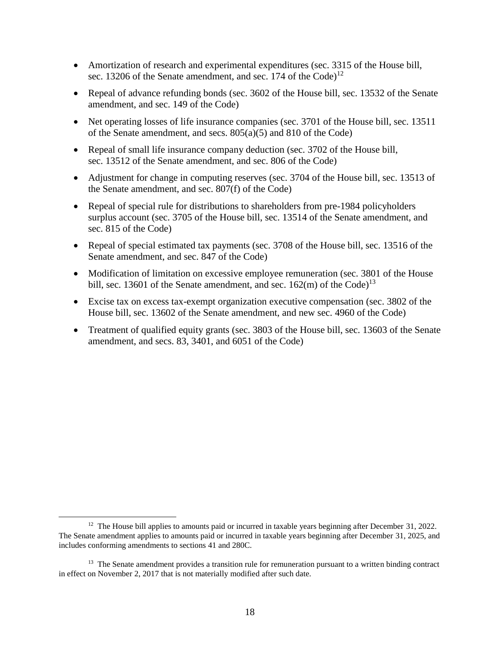- Amortization of research and experimental expenditures (sec. 3315 of the House bill, sec. 13206 of the Senate amendment, and sec. 174 of the Code)<sup>12</sup>
- Repeal of advance refunding bonds (sec. 3602 of the House bill, sec. 13532 of the Senate amendment, and sec. 149 of the Code)
- Net operating losses of life insurance companies (sec. 3701 of the House bill, sec. 13511 of the Senate amendment, and secs. 805(a)(5) and 810 of the Code)
- Repeal of small life insurance company deduction (sec. 3702 of the House bill, sec. 13512 of the Senate amendment, and sec. 806 of the Code)
- Adjustment for change in computing reserves (sec. 3704 of the House bill, sec. 13513 of the Senate amendment, and sec. 807(f) of the Code)
- Repeal of special rule for distributions to shareholders from pre-1984 policyholders surplus account (sec. 3705 of the House bill, sec. 13514 of the Senate amendment, and sec. 815 of the Code)
- Repeal of special estimated tax payments (sec. 3708 of the House bill, sec. 13516 of the Senate amendment, and sec. 847 of the Code)
- Modification of limitation on excessive employee remuneration (sec. 3801 of the House bill, sec. 13601 of the Senate amendment, and sec.  $162(m)$  of the Code)<sup>13</sup>
- Excise tax on excess tax-exempt organization executive compensation (sec. 3802 of the House bill, sec. 13602 of the Senate amendment, and new sec. 4960 of the Code)
- Treatment of qualified equity grants (sec. 3803 of the House bill, sec. 13603 of the Senate amendment, and secs. 83, 3401, and 6051 of the Code)

<sup>&</sup>lt;sup>12</sup> The House bill applies to amounts paid or incurred in taxable years beginning after December 31, 2022. The Senate amendment applies to amounts paid or incurred in taxable years beginning after December 31, 2025, and includes conforming amendments to sections 41 and 280C.

<sup>&</sup>lt;sup>13</sup> The Senate amendment provides a transition rule for remuneration pursuant to a written binding contract in effect on November 2, 2017 that is not materially modified after such date.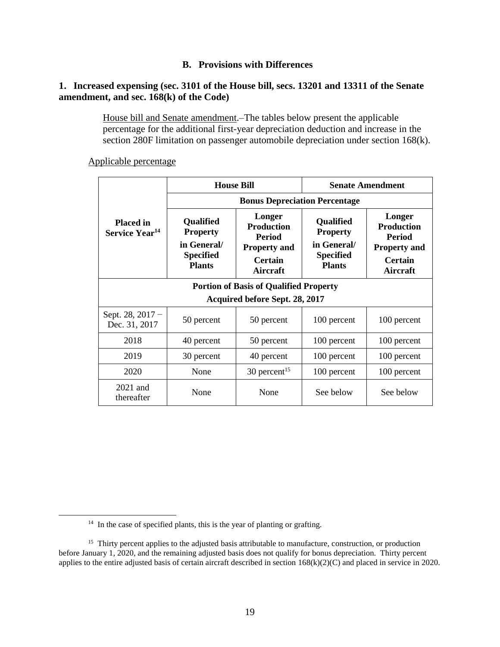### **B. Provisions with Differences**

### **1. Increased expensing (sec. 3101 of the House bill, secs. 13201 and 13311 of the Senate amendment, and sec. 168(k) of the Code)**

House bill and Senate amendment.–The tables below present the applicable percentage for the additional first-year depreciation deduction and increase in the section 280F limitation on passenger automobile depreciation under section 168(k).

Applicable percentage

|                                                | <b>House Bill</b>                                                                |                                                                                                          | <b>Senate Amendment</b>                                                          |                                                                                                   |
|------------------------------------------------|----------------------------------------------------------------------------------|----------------------------------------------------------------------------------------------------------|----------------------------------------------------------------------------------|---------------------------------------------------------------------------------------------------|
|                                                | <b>Bonus Depreciation Percentage</b>                                             |                                                                                                          |                                                                                  |                                                                                                   |
| <b>Placed in</b><br>Service Year <sup>14</sup> | Qualified<br><b>Property</b><br>in General/<br><b>Specified</b><br><b>Plants</b> | Longer<br><b>Production</b><br><b>Period</b><br><b>Property and</b><br><b>Certain</b><br><b>Aircraft</b> | Qualified<br><b>Property</b><br>in General/<br><b>Specified</b><br><b>Plants</b> | Longer<br><b>Production</b><br><b>Period</b><br><b>Property and</b><br><b>Certain</b><br>Aircraft |
| <b>Portion of Basis of Qualified Property</b>  |                                                                                  |                                                                                                          |                                                                                  |                                                                                                   |
| <b>Acquired before Sept. 28, 2017</b>          |                                                                                  |                                                                                                          |                                                                                  |                                                                                                   |
| Sept. $28, 2017 -$<br>Dec. 31, 2017            | 50 percent                                                                       | 50 percent                                                                                               | 100 percent                                                                      | 100 percent                                                                                       |
| 2018                                           | 40 percent                                                                       | 50 percent                                                                                               | 100 percent                                                                      | 100 percent                                                                                       |
| 2019                                           | 30 percent                                                                       | 40 percent                                                                                               | 100 percent                                                                      | 100 percent                                                                                       |
| 2020                                           | None                                                                             | $30$ percent <sup>15</sup>                                                                               | 100 percent                                                                      | 100 percent                                                                                       |
| $2021$ and<br>thereafter                       | None                                                                             | None                                                                                                     | See below                                                                        | See below                                                                                         |

<sup>&</sup>lt;sup>14</sup> In the case of specified plants, this is the year of planting or grafting.

<sup>&</sup>lt;sup>15</sup> Thirty percent applies to the adjusted basis attributable to manufacture, construction, or production before January 1, 2020, and the remaining adjusted basis does not qualify for bonus depreciation. Thirty percent applies to the entire adjusted basis of certain aircraft described in section 168(k)(2)(C) and placed in service in 2020.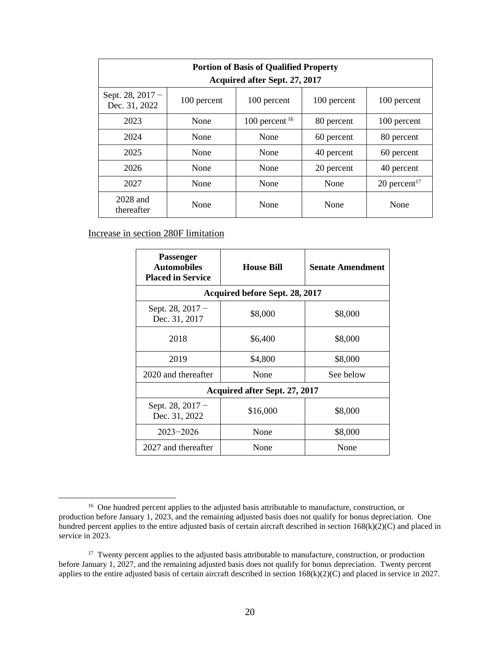| <b>Portion of Basis of Qualified Property</b><br>Acquired after Sept. 27, 2017 |             |                  |             |                          |
|--------------------------------------------------------------------------------|-------------|------------------|-------------|--------------------------|
| Sept. 28, $2017 -$<br>Dec. 31, 2022                                            | 100 percent | 100 percent      | 100 percent | 100 percent              |
| 2023                                                                           | None        | 100 percent $16$ | 80 percent  | 100 percent              |
| 2024                                                                           | None        | None             | 60 percent  | 80 percent               |
| 2025                                                                           | None        | None             | 40 percent  | 60 percent               |
| 2026                                                                           | None        | None             | 20 percent  | 40 percent               |
| 2027                                                                           | None        | None             | None        | 20 percent <sup>17</sup> |
| 2028 and<br>thereafter                                                         | None        | None             | None        | None                     |

## Increase in section 280F limitation

| Passenger<br><b>Automobiles</b><br><b>Placed in Service</b> | <b>House Bill</b> | <b>Senate Amendment</b> |  |  |
|-------------------------------------------------------------|-------------------|-------------------------|--|--|
| <b>Acquired before Sept. 28, 2017</b>                       |                   |                         |  |  |
| Sept. $28, 2017 -$<br>Dec. 31, 2017                         | \$8,000           | \$8,000                 |  |  |
| 2018                                                        | \$6,400           | \$8,000                 |  |  |
| 2019                                                        | \$4,800           | \$8,000                 |  |  |
| 2020 and thereafter                                         | None              | See below               |  |  |
| Acquired after Sept. 27, 2017                               |                   |                         |  |  |
| Sept. 28, $2017 -$<br>Dec. 31, 2022                         | \$16,000          | \$8,000                 |  |  |
| $2023 - 2026$                                               | None              | \$8,000                 |  |  |
| 2027 and thereafter                                         | None              | None                    |  |  |

<sup>&</sup>lt;sup>16</sup> One hundred percent applies to the adjusted basis attributable to manufacture, construction, or production before January 1, 2023, and the remaining adjusted basis does not qualify for bonus depreciation. One hundred percent applies to the entire adjusted basis of certain aircraft described in section  $168(k)(2)(C)$  and placed in service in 2023.

<sup>&</sup>lt;sup>17</sup> Twenty percent applies to the adjusted basis attributable to manufacture, construction, or production before January 1, 2027, and the remaining adjusted basis does not qualify for bonus depreciation. Twenty percent applies to the entire adjusted basis of certain aircraft described in section 168(k)(2)(C) and placed in service in 2027.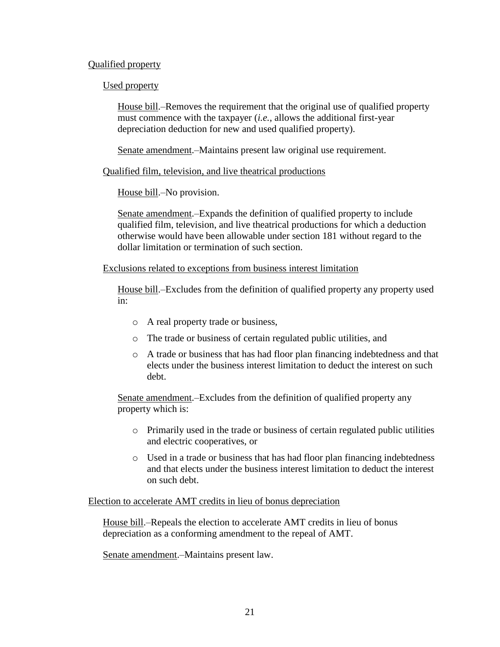### Qualified property

### Used property

House bill.–Removes the requirement that the original use of qualified property must commence with the taxpayer (*i.e.*, allows the additional first-year depreciation deduction for new and used qualified property).

Senate amendment.–Maintains present law original use requirement.

Qualified film, television, and live theatrical productions

House bill.–No provision.

Senate amendment.–Expands the definition of qualified property to include qualified film, television, and live theatrical productions for which a deduction otherwise would have been allowable under section 181 without regard to the dollar limitation or termination of such section.

Exclusions related to exceptions from business interest limitation

House bill.–Excludes from the definition of qualified property any property used in:

- o A real property trade or business,
- o The trade or business of certain regulated public utilities, and
- o A trade or business that has had floor plan financing indebtedness and that elects under the business interest limitation to deduct the interest on such debt.

Senate amendment.–Excludes from the definition of qualified property any property which is:

- o Primarily used in the trade or business of certain regulated public utilities and electric cooperatives, or
- o Used in a trade or business that has had floor plan financing indebtedness and that elects under the business interest limitation to deduct the interest on such debt.

Election to accelerate AMT credits in lieu of bonus depreciation

House bill.–Repeals the election to accelerate AMT credits in lieu of bonus depreciation as a conforming amendment to the repeal of AMT.

Senate amendment.–Maintains present law.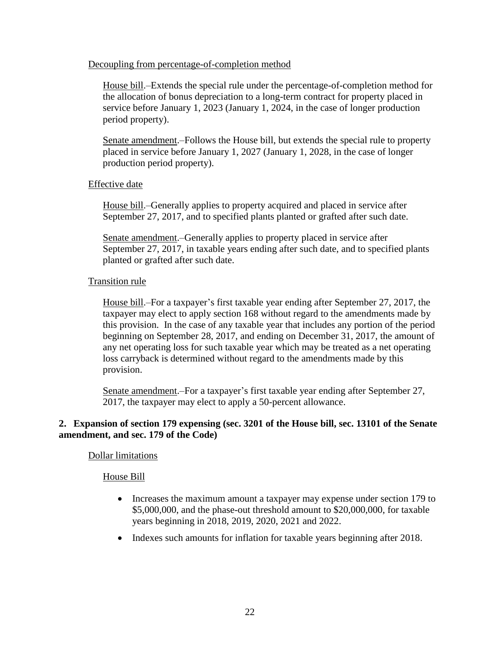#### Decoupling from percentage-of-completion method

House bill.–Extends the special rule under the percentage-of-completion method for the allocation of bonus depreciation to a long-term contract for property placed in service before January 1, 2023 (January 1, 2024, in the case of longer production period property).

Senate amendment.–Follows the House bill, but extends the special rule to property placed in service before January 1, 2027 (January 1, 2028, in the case of longer production period property).

Effective date

House bill.–Generally applies to property acquired and placed in service after September 27, 2017, and to specified plants planted or grafted after such date.

Senate amendment.–Generally applies to property placed in service after September 27, 2017, in taxable years ending after such date, and to specified plants planted or grafted after such date.

### Transition rule

House bill.–For a taxpayer's first taxable year ending after September 27, 2017, the taxpayer may elect to apply section 168 without regard to the amendments made by this provision. In the case of any taxable year that includes any portion of the period beginning on September 28, 2017, and ending on December 31, 2017, the amount of any net operating loss for such taxable year which may be treated as a net operating loss carryback is determined without regard to the amendments made by this provision.

Senate amendment.–For a taxpayer's first taxable year ending after September 27, 2017, the taxpayer may elect to apply a 50-percent allowance.

## **2. Expansion of section 179 expensing (sec. 3201 of the House bill, sec. 13101 of the Senate amendment, and sec. 179 of the Code)**

### Dollar limitations

### House Bill

- Increases the maximum amount a taxpayer may expense under section 179 to \$5,000,000, and the phase-out threshold amount to \$20,000,000, for taxable years beginning in 2018, 2019, 2020, 2021 and 2022.
- Indexes such amounts for inflation for taxable years beginning after 2018.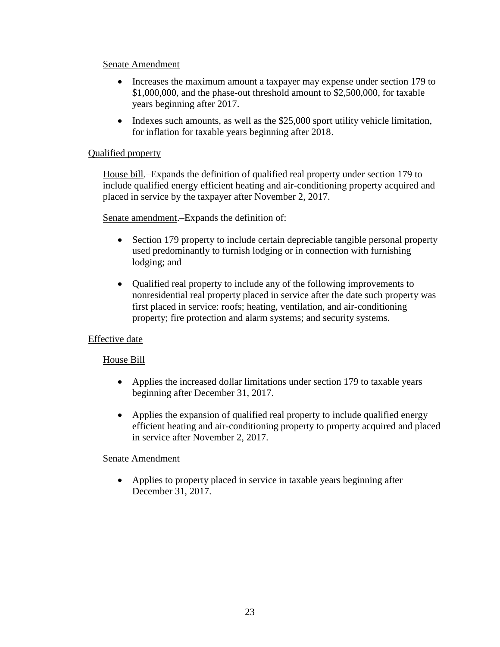- Increases the maximum amount a taxpayer may expense under section 179 to \$1,000,000, and the phase-out threshold amount to \$2,500,000, for taxable years beginning after 2017.
- $\bullet$  Indexes such amounts, as well as the \$25,000 sport utility vehicle limitation, for inflation for taxable years beginning after 2018.

## Qualified property

House bill.–Expands the definition of qualified real property under section 179 to include qualified energy efficient heating and air-conditioning property acquired and placed in service by the taxpayer after November 2, 2017.

Senate amendment.–Expands the definition of:

- Section 179 property to include certain depreciable tangible personal property used predominantly to furnish lodging or in connection with furnishing lodging; and
- Qualified real property to include any of the following improvements to nonresidential real property placed in service after the date such property was first placed in service: roofs; heating, ventilation, and air-conditioning property; fire protection and alarm systems; and security systems.

## Effective date

## House Bill

- Applies the increased dollar limitations under section 179 to taxable years beginning after December 31, 2017.
- Applies the expansion of qualified real property to include qualified energy efficient heating and air-conditioning property to property acquired and placed in service after November 2, 2017.

## Senate Amendment

 Applies to property placed in service in taxable years beginning after December 31, 2017.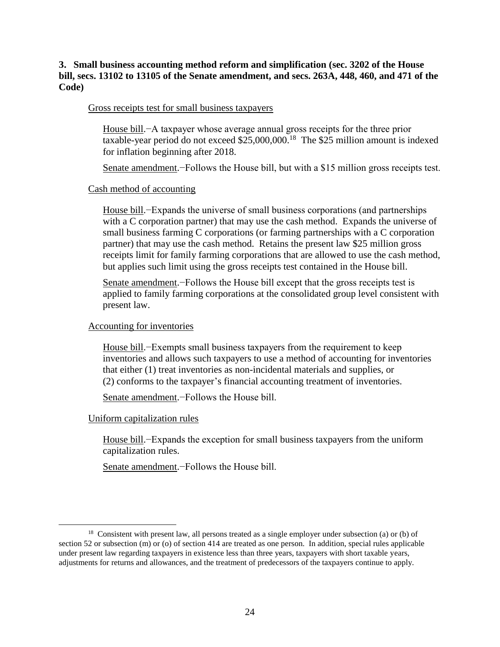### **3. Small business accounting method reform and simplification (sec. 3202 of the House bill, secs. 13102 to 13105 of the Senate amendment, and secs. 263A, 448, 460, and 471 of the Code)**

#### Gross receipts test for small business taxpayers

House bill.−A taxpayer whose average annual gross receipts for the three prior taxable-year period do not exceed \$25,000,000.<sup>18</sup> The \$25 million amount is indexed for inflation beginning after 2018.

Senate amendment.−Follows the House bill, but with a \$15 million gross receipts test.

#### Cash method of accounting

House bill.−Expands the universe of small business corporations (and partnerships with a C corporation partner) that may use the cash method. Expands the universe of small business farming C corporations (or farming partnerships with a C corporation partner) that may use the cash method. Retains the present law \$25 million gross receipts limit for family farming corporations that are allowed to use the cash method, but applies such limit using the gross receipts test contained in the House bill.

Senate amendment.−Follows the House bill except that the gross receipts test is applied to family farming corporations at the consolidated group level consistent with present law.

#### Accounting for inventories

House bill.−Exempts small business taxpayers from the requirement to keep inventories and allows such taxpayers to use a method of accounting for inventories that either (1) treat inventories as non-incidental materials and supplies, or (2) conforms to the taxpayer's financial accounting treatment of inventories.

Senate amendment.−Follows the House bill.

### Uniform capitalization rules

 $\overline{a}$ 

House bill.−Expands the exception for small business taxpayers from the uniform capitalization rules.

Senate amendment.−Follows the House bill.

<sup>&</sup>lt;sup>18</sup> Consistent with present law, all persons treated as a single employer under subsection (a) or (b) of section 52 or subsection (m) or (o) of section 414 are treated as one person. In addition, special rules applicable under present law regarding taxpayers in existence less than three years, taxpayers with short taxable years, adjustments for returns and allowances, and the treatment of predecessors of the taxpayers continue to apply.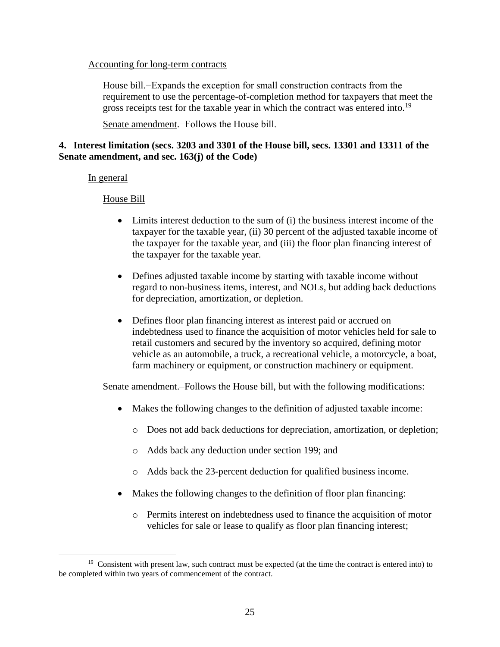#### Accounting for long-term contracts

House bill.−Expands the exception for small construction contracts from the requirement to use the percentage-of-completion method for taxpayers that meet the gross receipts test for the taxable year in which the contract was entered into.<sup>19</sup>

Senate amendment.−Follows the House bill.

## **4. Interest limitation (secs. 3203 and 3301 of the House bill, secs. 13301 and 13311 of the Senate amendment, and sec. 163(j) of the Code)**

### In general

 $\overline{a}$ 

House Bill

- Limits interest deduction to the sum of (i) the business interest income of the taxpayer for the taxable year, (ii) 30 percent of the adjusted taxable income of the taxpayer for the taxable year, and (iii) the floor plan financing interest of the taxpayer for the taxable year.
- Defines adjusted taxable income by starting with taxable income without regard to non-business items, interest, and NOLs, but adding back deductions for depreciation, amortization, or depletion.
- Defines floor plan financing interest as interest paid or accrued on indebtedness used to finance the acquisition of motor vehicles held for sale to retail customers and secured by the inventory so acquired, defining motor vehicle as an automobile, a truck, a recreational vehicle, a motorcycle, a boat, farm machinery or equipment, or construction machinery or equipment.

Senate amendment.–Follows the House bill, but with the following modifications:

- Makes the following changes to the definition of adjusted taxable income:
	- o Does not add back deductions for depreciation, amortization, or depletion;
	- o Adds back any deduction under section 199; and
	- o Adds back the 23-percent deduction for qualified business income.
- Makes the following changes to the definition of floor plan financing:
	- o Permits interest on indebtedness used to finance the acquisition of motor vehicles for sale or lease to qualify as floor plan financing interest;

<sup>&</sup>lt;sup>19</sup> Consistent with present law, such contract must be expected (at the time the contract is entered into) to be completed within two years of commencement of the contract.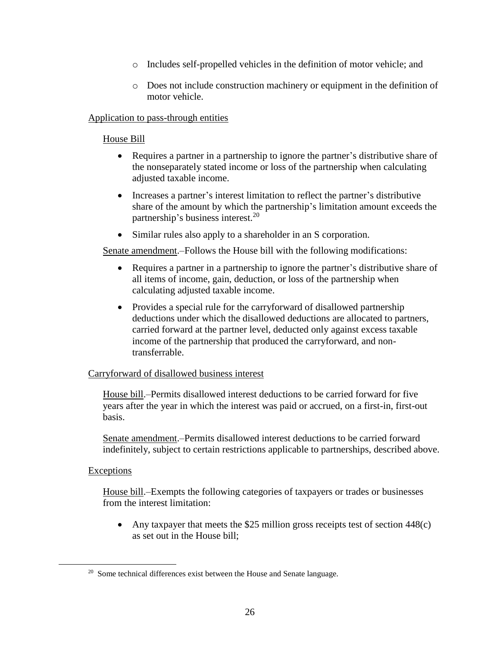- o Includes self-propelled vehicles in the definition of motor vehicle; and
- o Does not include construction machinery or equipment in the definition of motor vehicle.

### Application to pass-through entities

## House Bill

- Requires a partner in a partnership to ignore the partner's distributive share of the nonseparately stated income or loss of the partnership when calculating adjusted taxable income.
- Increases a partner's interest limitation to reflect the partner's distributive share of the amount by which the partnership's limitation amount exceeds the partnership's business interest.<sup>20</sup>
- Similar rules also apply to a shareholder in an S corporation.

Senate amendment.–Follows the House bill with the following modifications:

- Requires a partner in a partnership to ignore the partner's distributive share of all items of income, gain, deduction, or loss of the partnership when calculating adjusted taxable income.
- Provides a special rule for the carryforward of disallowed partnership deductions under which the disallowed deductions are allocated to partners, carried forward at the partner level, deducted only against excess taxable income of the partnership that produced the carryforward, and nontransferrable.

## Carryforward of disallowed business interest

House bill.–Permits disallowed interest deductions to be carried forward for five years after the year in which the interest was paid or accrued, on a first-in, first-out basis.

Senate amendment.–Permits disallowed interest deductions to be carried forward indefinitely, subject to certain restrictions applicable to partnerships, described above.

## **Exceptions**

 $\overline{a}$ 

House bill.–Exempts the following categories of taxpayers or trades or businesses from the interest limitation:

• Any taxpayer that meets the \$25 million gross receipts test of section  $448(c)$ as set out in the House bill;

 $20$  Some technical differences exist between the House and Senate language.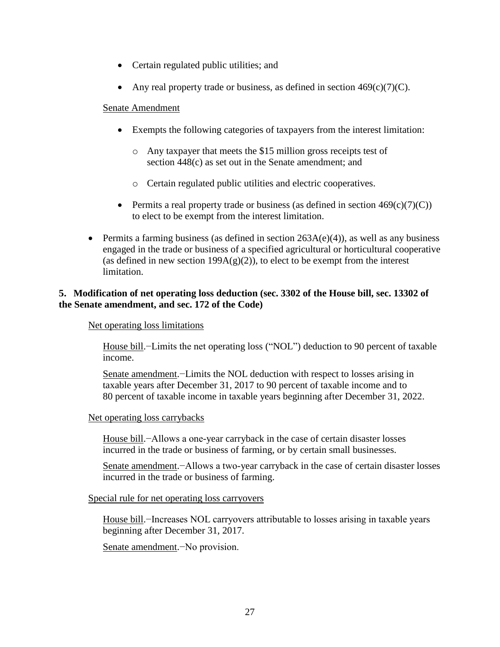- Certain regulated public utilities; and
- Any real property trade or business, as defined in section  $469(c)(7)(C)$ .

- Exempts the following categories of taxpayers from the interest limitation:
	- o Any taxpayer that meets the \$15 million gross receipts test of section 448(c) as set out in the Senate amendment; and
	- o Certain regulated public utilities and electric cooperatives.
- Permits a real property trade or business (as defined in section  $469(c)(7)(C)$ ) to elect to be exempt from the interest limitation.
- **•** Permits a farming business (as defined in section  $263A(e)(4)$ ), as well as any business engaged in the trade or business of a specified agricultural or horticultural cooperative (as defined in new section  $199A(g)(2)$ ), to elect to be exempt from the interest limitation.

## **5. Modification of net operating loss deduction (sec. 3302 of the House bill, sec. 13302 of the Senate amendment, and sec. 172 of the Code)**

### Net operating loss limitations

House bill.−Limits the net operating loss ("NOL") deduction to 90 percent of taxable income.

Senate amendment.−Limits the NOL deduction with respect to losses arising in taxable years after December 31, 2017 to 90 percent of taxable income and to 80 percent of taxable income in taxable years beginning after December 31, 2022.

### Net operating loss carrybacks

House bill.−Allows a one-year carryback in the case of certain disaster losses incurred in the trade or business of farming, or by certain small businesses.

Senate amendment.−Allows a two-year carryback in the case of certain disaster losses incurred in the trade or business of farming.

Special rule for net operating loss carryovers

House bill.−Increases NOL carryovers attributable to losses arising in taxable years beginning after December 31, 2017.

Senate amendment.−No provision.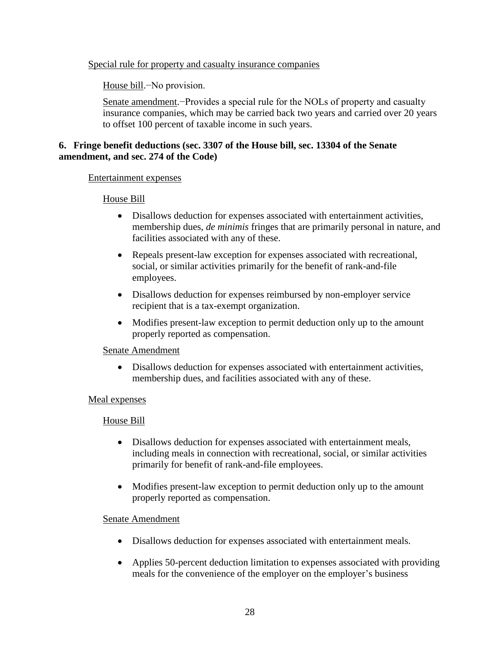### Special rule for property and casualty insurance companies

House bill.−No provision.

Senate amendment.−Provides a special rule for the NOLs of property and casualty insurance companies, which may be carried back two years and carried over 20 years to offset 100 percent of taxable income in such years.

## **6. Fringe benefit deductions (sec. 3307 of the House bill, sec. 13304 of the Senate amendment, and sec. 274 of the Code)**

### Entertainment expenses

### House Bill

- Disallows deduction for expenses associated with entertainment activities, membership dues, *de minimis* fringes that are primarily personal in nature, and facilities associated with any of these.
- Repeals present-law exception for expenses associated with recreational, social, or similar activities primarily for the benefit of rank-and-file employees.
- Disallows deduction for expenses reimbursed by non-employer service recipient that is a tax-exempt organization.
- Modifies present-law exception to permit deduction only up to the amount properly reported as compensation.

### Senate Amendment

 Disallows deduction for expenses associated with entertainment activities, membership dues, and facilities associated with any of these.

### Meal expenses

### House Bill

- Disallows deduction for expenses associated with entertainment meals, including meals in connection with recreational, social, or similar activities primarily for benefit of rank-and-file employees.
- Modifies present-law exception to permit deduction only up to the amount properly reported as compensation.

- Disallows deduction for expenses associated with entertainment meals.
- Applies 50-percent deduction limitation to expenses associated with providing meals for the convenience of the employer on the employer's business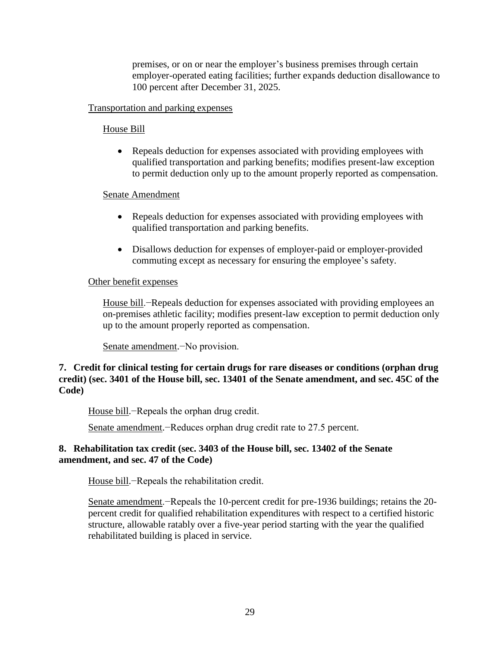premises, or on or near the employer's business premises through certain employer-operated eating facilities; further expands deduction disallowance to 100 percent after December 31, 2025.

## Transportation and parking expenses

### House Bill

• Repeals deduction for expenses associated with providing employees with qualified transportation and parking benefits; modifies present-law exception to permit deduction only up to the amount properly reported as compensation.

### Senate Amendment

- Repeals deduction for expenses associated with providing employees with qualified transportation and parking benefits.
- Disallows deduction for expenses of employer-paid or employer-provided commuting except as necessary for ensuring the employee's safety.

### Other benefit expenses

House bill.−Repeals deduction for expenses associated with providing employees an on-premises athletic facility; modifies present-law exception to permit deduction only up to the amount properly reported as compensation.

Senate amendment.−No provision.

**7. Credit for clinical testing for certain drugs for rare diseases or conditions (orphan drug credit) (sec. 3401 of the House bill, sec. 13401 of the Senate amendment, and sec. 45C of the Code)**

House bill.−Repeals the orphan drug credit.

Senate amendment.−Reduces orphan drug credit rate to 27.5 percent.

## **8. Rehabilitation tax credit (sec. 3403 of the House bill, sec. 13402 of the Senate amendment, and sec. 47 of the Code)**

House bill.−Repeals the rehabilitation credit.

Senate amendment.−Repeals the 10-percent credit for pre-1936 buildings; retains the 20percent credit for qualified rehabilitation expenditures with respect to a certified historic structure, allowable ratably over a five-year period starting with the year the qualified rehabilitated building is placed in service.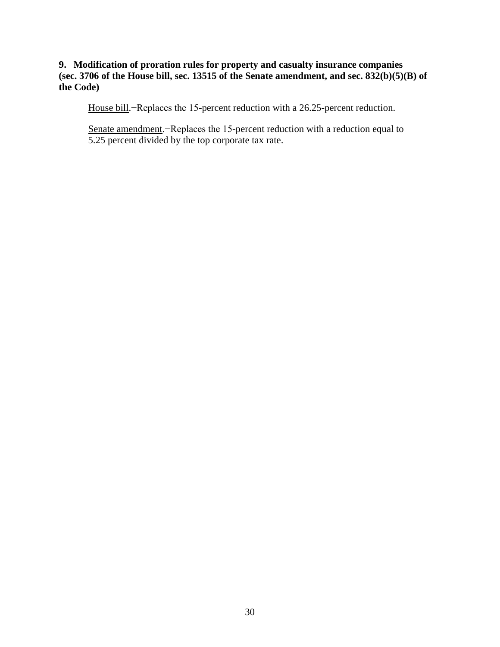## **9. Modification of proration rules for property and casualty insurance companies (sec. 3706 of the House bill, sec. 13515 of the Senate amendment, and sec. 832(b)(5)(B) of the Code)**

House bill.−Replaces the 15-percent reduction with a 26.25-percent reduction.

Senate amendment.−Replaces the 15-percent reduction with a reduction equal to 5.25 percent divided by the top corporate tax rate.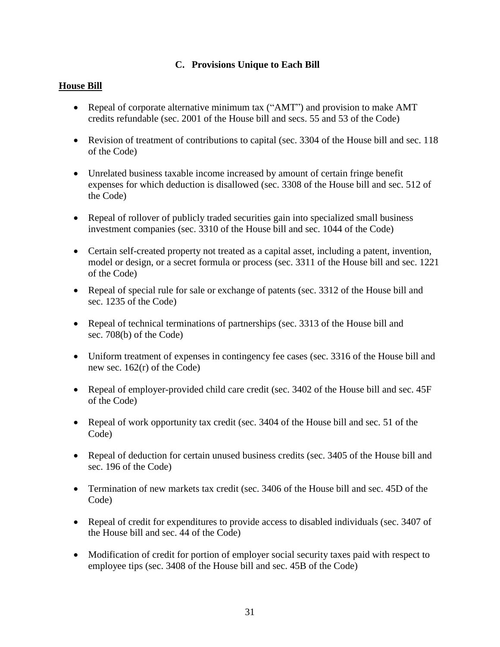# **C. Provisions Unique to Each Bill**

# **House Bill**

- Repeal of corporate alternative minimum tax ("AMT") and provision to make AMT credits refundable (sec. 2001 of the House bill and secs. 55 and 53 of the Code)
- Revision of treatment of contributions to capital (sec. 3304 of the House bill and sec. 118) of the Code)
- Unrelated business taxable income increased by amount of certain fringe benefit expenses for which deduction is disallowed (sec. 3308 of the House bill and sec. 512 of the Code)
- Repeal of rollover of publicly traded securities gain into specialized small business investment companies (sec. 3310 of the House bill and sec. 1044 of the Code)
- Certain self-created property not treated as a capital asset, including a patent, invention, model or design, or a secret formula or process (sec. 3311 of the House bill and sec. 1221 of the Code)
- Repeal of special rule for sale or exchange of patents (sec. 3312 of the House bill and sec. 1235 of the Code)
- Repeal of technical terminations of partnerships (sec. 3313 of the House bill and sec. 708(b) of the Code)
- Uniform treatment of expenses in contingency fee cases (sec. 3316 of the House bill and new sec. 162(r) of the Code)
- Repeal of employer-provided child care credit (sec. 3402 of the House bill and sec. 45F of the Code)
- Repeal of work opportunity tax credit (sec. 3404 of the House bill and sec. 51 of the Code)
- Repeal of deduction for certain unused business credits (sec. 3405 of the House bill and sec. 196 of the Code)
- Termination of new markets tax credit (sec. 3406 of the House bill and sec. 45D of the Code)
- Repeal of credit for expenditures to provide access to disabled individuals (sec. 3407 of the House bill and sec. 44 of the Code)
- Modification of credit for portion of employer social security taxes paid with respect to employee tips (sec. 3408 of the House bill and sec. 45B of the Code)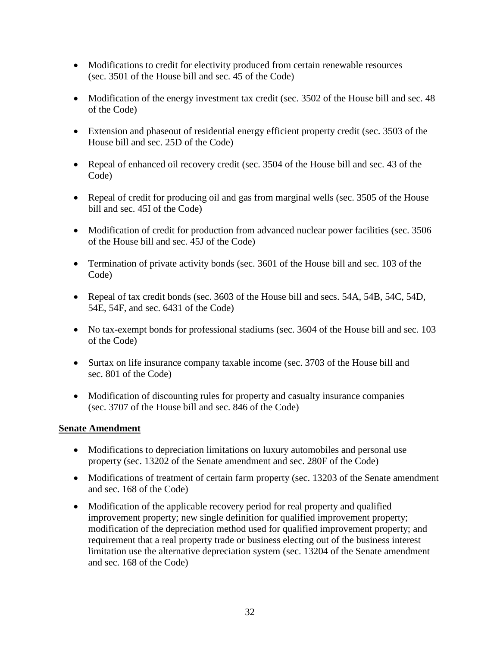- Modifications to credit for electivity produced from certain renewable resources (sec. 3501 of the House bill and sec. 45 of the Code)
- Modification of the energy investment tax credit (sec. 3502 of the House bill and sec. 48 of the Code)
- Extension and phaseout of residential energy efficient property credit (sec. 3503 of the House bill and sec. 25D of the Code)
- Repeal of enhanced oil recovery credit (sec. 3504 of the House bill and sec. 43 of the Code)
- Repeal of credit for producing oil and gas from marginal wells (sec. 3505 of the House bill and sec. 45I of the Code)
- Modification of credit for production from advanced nuclear power facilities (sec. 3506 of the House bill and sec. 45J of the Code)
- Termination of private activity bonds (sec. 3601 of the House bill and sec. 103 of the Code)
- Repeal of tax credit bonds (sec. 3603 of the House bill and secs. 54A, 54B, 54C, 54D, 54E, 54F, and sec. 6431 of the Code)
- No tax-exempt bonds for professional stadiums (sec. 3604 of the House bill and sec. 103 of the Code)
- Surtax on life insurance company taxable income (sec. 3703 of the House bill and sec. 801 of the Code)
- Modification of discounting rules for property and casualty insurance companies (sec. 3707 of the House bill and sec. 846 of the Code)

- Modifications to depreciation limitations on luxury automobiles and personal use property (sec. 13202 of the Senate amendment and sec. 280F of the Code)
- Modifications of treatment of certain farm property (sec. 13203 of the Senate amendment and sec. 168 of the Code)
- Modification of the applicable recovery period for real property and qualified improvement property; new single definition for qualified improvement property; modification of the depreciation method used for qualified improvement property; and requirement that a real property trade or business electing out of the business interest limitation use the alternative depreciation system (sec. 13204 of the Senate amendment and sec. 168 of the Code)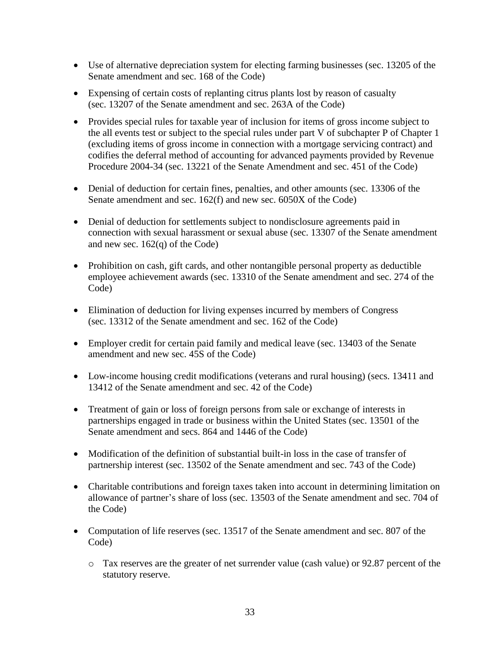- Use of alternative depreciation system for electing farming businesses (sec. 13205 of the Senate amendment and sec. 168 of the Code)
- Expensing of certain costs of replanting citrus plants lost by reason of casualty (sec. 13207 of the Senate amendment and sec. 263A of the Code)
- Provides special rules for taxable year of inclusion for items of gross income subject to the all events test or subject to the special rules under part V of subchapter P of Chapter 1 (excluding items of gross income in connection with a mortgage servicing contract) and codifies the deferral method of accounting for advanced payments provided by Revenue Procedure 2004-34 (sec. 13221 of the Senate Amendment and sec. 451 of the Code)
- Denial of deduction for certain fines, penalties, and other amounts (sec. 13306 of the Senate amendment and sec. 162(f) and new sec. 6050X of the Code)
- Denial of deduction for settlements subject to nondisclosure agreements paid in connection with sexual harassment or sexual abuse (sec. 13307 of the Senate amendment and new sec. 162(q) of the Code)
- Prohibition on cash, gift cards, and other nontangible personal property as deductible employee achievement awards (sec. 13310 of the Senate amendment and sec. 274 of the Code)
- Elimination of deduction for living expenses incurred by members of Congress (sec. 13312 of the Senate amendment and sec. 162 of the Code)
- Employer credit for certain paid family and medical leave (sec. 13403 of the Senate amendment and new sec. 45S of the Code)
- Low-income housing credit modifications (veterans and rural housing) (secs. 13411 and 13412 of the Senate amendment and sec. 42 of the Code)
- Treatment of gain or loss of foreign persons from sale or exchange of interests in partnerships engaged in trade or business within the United States (sec. 13501 of the Senate amendment and secs. 864 and 1446 of the Code)
- Modification of the definition of substantial built-in loss in the case of transfer of partnership interest (sec. 13502 of the Senate amendment and sec. 743 of the Code)
- Charitable contributions and foreign taxes taken into account in determining limitation on allowance of partner's share of loss (sec. 13503 of the Senate amendment and sec. 704 of the Code)
- Computation of life reserves (sec. 13517 of the Senate amendment and sec. 807 of the Code)
	- o Tax reserves are the greater of net surrender value (cash value) or 92.87 percent of the statutory reserve.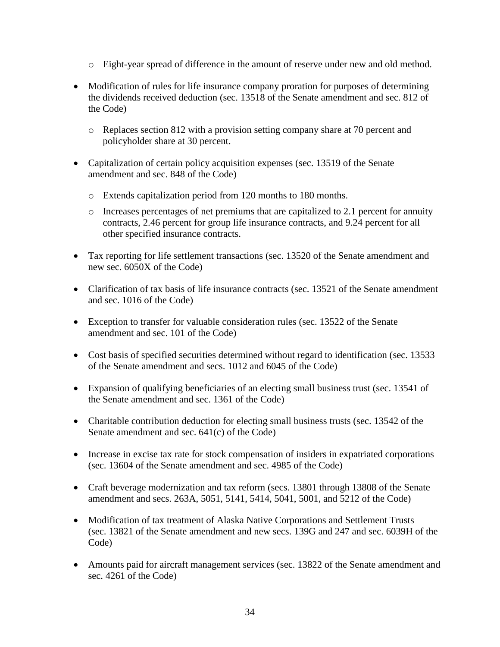- o Eight-year spread of difference in the amount of reserve under new and old method.
- Modification of rules for life insurance company proration for purposes of determining the dividends received deduction (sec. 13518 of the Senate amendment and sec. 812 of the Code)
	- o Replaces section 812 with a provision setting company share at 70 percent and policyholder share at 30 percent.
- Capitalization of certain policy acquisition expenses (sec. 13519 of the Senate amendment and sec. 848 of the Code)
	- o Extends capitalization period from 120 months to 180 months.
	- o Increases percentages of net premiums that are capitalized to 2.1 percent for annuity contracts, 2.46 percent for group life insurance contracts, and 9.24 percent for all other specified insurance contracts.
- Tax reporting for life settlement transactions (sec. 13520 of the Senate amendment and new sec. 6050X of the Code)
- Clarification of tax basis of life insurance contracts (sec. 13521 of the Senate amendment and sec. 1016 of the Code)
- Exception to transfer for valuable consideration rules (sec. 13522 of the Senate amendment and sec. 101 of the Code)
- Cost basis of specified securities determined without regard to identification (sec. 13533) of the Senate amendment and secs. 1012 and 6045 of the Code)
- Expansion of qualifying beneficiaries of an electing small business trust (sec. 13541 of the Senate amendment and sec. 1361 of the Code)
- Charitable contribution deduction for electing small business trusts (sec. 13542 of the Senate amendment and sec. 641(c) of the Code)
- Increase in excise tax rate for stock compensation of insiders in expatriated corporations (sec. 13604 of the Senate amendment and sec. 4985 of the Code)
- Craft beverage modernization and tax reform (secs. 13801 through 13808 of the Senate amendment and secs. 263A, 5051, 5141, 5414, 5041, 5001, and 5212 of the Code)
- Modification of tax treatment of Alaska Native Corporations and Settlement Trusts (sec. 13821 of the Senate amendment and new secs. 139G and 247 and sec. 6039H of the Code)
- Amounts paid for aircraft management services (sec. 13822 of the Senate amendment and sec. 4261 of the Code)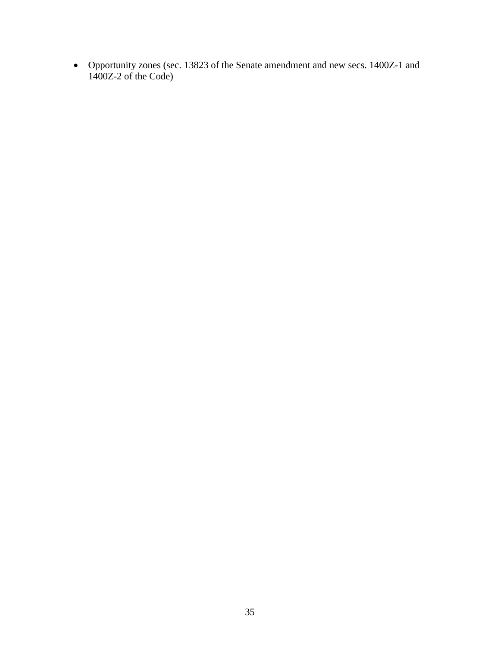Opportunity zones (sec. 13823 of the Senate amendment and new secs. 1400Z-1 and 1400Z-2 of the Code)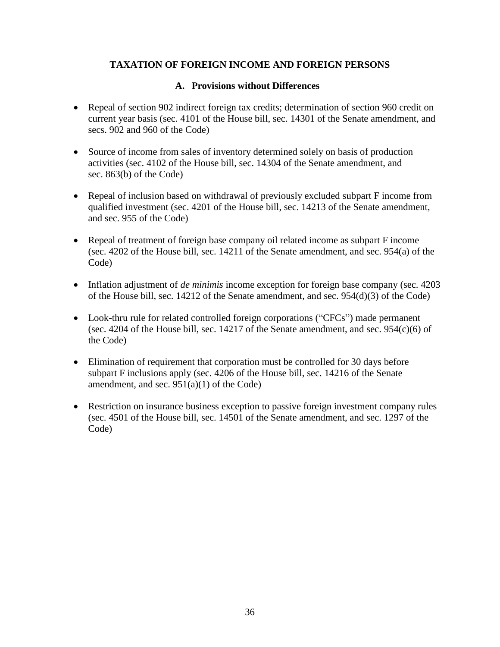## **TAXATION OF FOREIGN INCOME AND FOREIGN PERSONS**

### **A. Provisions without Differences**

- Repeal of section 902 indirect foreign tax credits; determination of section 960 credit on current year basis (sec. 4101 of the House bill, sec. 14301 of the Senate amendment, and secs. 902 and 960 of the Code)
- Source of income from sales of inventory determined solely on basis of production activities (sec. 4102 of the House bill, sec. 14304 of the Senate amendment, and sec. 863(b) of the Code)
- Repeal of inclusion based on withdrawal of previously excluded subpart F income from qualified investment (sec. 4201 of the House bill, sec. 14213 of the Senate amendment, and sec. 955 of the Code)
- Repeal of treatment of foreign base company oil related income as subpart F income (sec. 4202 of the House bill, sec. 14211 of the Senate amendment, and sec. 954(a) of the Code)
- Inflation adjustment of *de minimis* income exception for foreign base company (sec. 4203 of the House bill, sec. 14212 of the Senate amendment, and sec. 954(d)(3) of the Code)
- Look-thru rule for related controlled foreign corporations ("CFCs") made permanent (sec. 4204 of the House bill, sec. 14217 of the Senate amendment, and sec.  $954(c)(6)$  of the Code)
- Elimination of requirement that corporation must be controlled for 30 days before subpart F inclusions apply (sec. 4206 of the House bill, sec. 14216 of the Senate amendment, and sec.  $951(a)(1)$  of the Code)
- Restriction on insurance business exception to passive foreign investment company rules (sec. 4501 of the House bill, sec. 14501 of the Senate amendment, and sec. 1297 of the Code)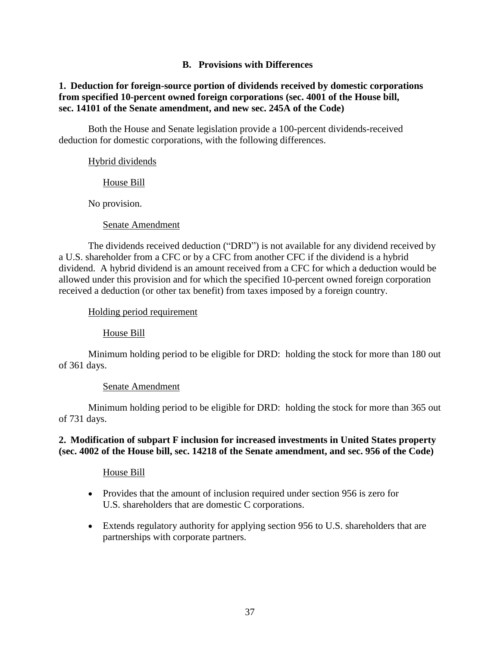## **B. Provisions with Differences**

## **1. Deduction for foreign-source portion of dividends received by domestic corporations from specified 10-percent owned foreign corporations (sec. 4001 of the House bill, sec. 14101 of the Senate amendment, and new sec. 245A of the Code)**

Both the House and Senate legislation provide a 100-percent dividends-received deduction for domestic corporations, with the following differences.

### Hybrid dividends

House Bill

No provision.

Senate Amendment

The dividends received deduction ("DRD") is not available for any dividend received by a U.S. shareholder from a CFC or by a CFC from another CFC if the dividend is a hybrid dividend. A hybrid dividend is an amount received from a CFC for which a deduction would be allowed under this provision and for which the specified 10-percent owned foreign corporation received a deduction (or other tax benefit) from taxes imposed by a foreign country.

Holding period requirement

House Bill

Minimum holding period to be eligible for DRD: holding the stock for more than 180 out of 361 days.

### Senate Amendment

Minimum holding period to be eligible for DRD: holding the stock for more than 365 out of 731 days.

### **2. Modification of subpart F inclusion for increased investments in United States property (sec. 4002 of the House bill, sec. 14218 of the Senate amendment, and sec. 956 of the Code)**

### House Bill

- Provides that the amount of inclusion required under section 956 is zero for U.S. shareholders that are domestic C corporations.
- Extends regulatory authority for applying section 956 to U.S. shareholders that are partnerships with corporate partners.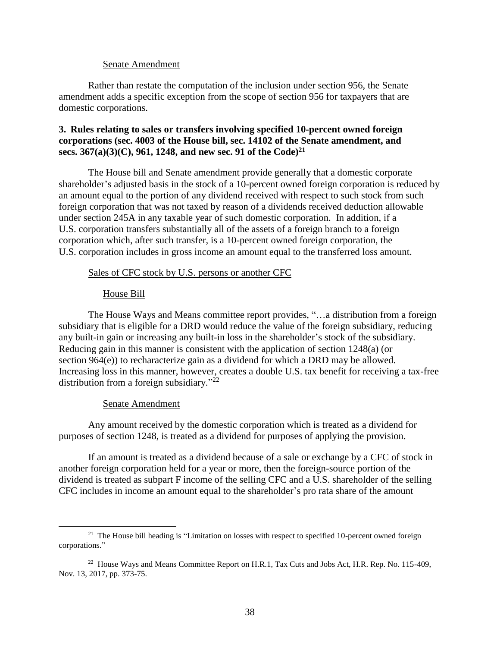Rather than restate the computation of the inclusion under section 956, the Senate amendment adds a specific exception from the scope of section 956 for taxpayers that are domestic corporations.

### **3. Rules relating to sales or transfers involving specified 10-percent owned foreign corporations (sec. 4003 of the House bill, sec. 14102 of the Senate amendment, and secs. 367(a)(3)(C), 961, 1248, and new sec. 91 of the Code) 21**

The House bill and Senate amendment provide generally that a domestic corporate shareholder's adjusted basis in the stock of a 10-percent owned foreign corporation is reduced by an amount equal to the portion of any dividend received with respect to such stock from such foreign corporation that was not taxed by reason of a dividends received deduction allowable under section 245A in any taxable year of such domestic corporation. In addition, if a U.S. corporation transfers substantially all of the assets of a foreign branch to a foreign corporation which, after such transfer, is a 10-percent owned foreign corporation, the U.S. corporation includes in gross income an amount equal to the transferred loss amount.

#### Sales of CFC stock by U.S. persons or another CFC

#### House Bill

The House Ways and Means committee report provides, "…a distribution from a foreign subsidiary that is eligible for a DRD would reduce the value of the foreign subsidiary, reducing any built-in gain or increasing any built-in loss in the shareholder's stock of the subsidiary. Reducing gain in this manner is consistent with the application of section 1248(a) (or section 964(e)) to recharacterize gain as a dividend for which a DRD may be allowed. Increasing loss in this manner, however, creates a double U.S. tax benefit for receiving a tax-free distribution from a foreign subsidiary."<sup>22</sup>

#### Senate Amendment

 $\overline{a}$ 

Any amount received by the domestic corporation which is treated as a dividend for purposes of section 1248, is treated as a dividend for purposes of applying the provision.

If an amount is treated as a dividend because of a sale or exchange by a CFC of stock in another foreign corporation held for a year or more, then the foreign-source portion of the dividend is treated as subpart F income of the selling CFC and a U.S. shareholder of the selling CFC includes in income an amount equal to the shareholder's pro rata share of the amount

<sup>&</sup>lt;sup>21</sup> The House bill heading is "Limitation on losses with respect to specified 10-percent owned foreign corporations."

 $22$  House Ways and Means Committee Report on H.R.1, Tax Cuts and Jobs Act, H.R. Rep. No. 115-409, Nov. 13, 2017, pp. 373-75.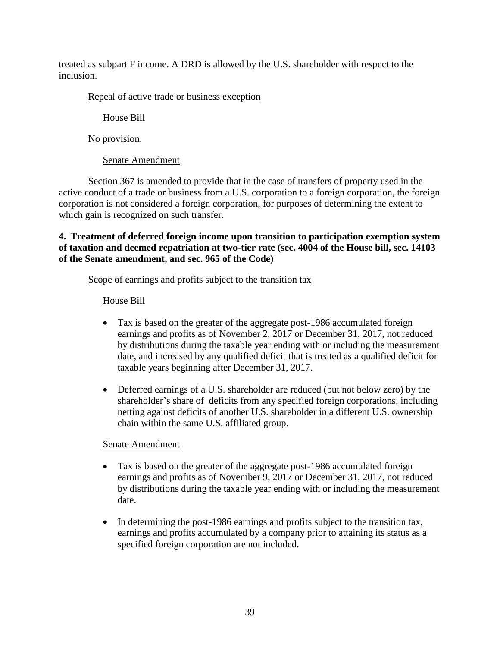treated as subpart F income. A DRD is allowed by the U.S. shareholder with respect to the inclusion.

## Repeal of active trade or business exception

# House Bill

No provision.

# Senate Amendment

Section 367 is amended to provide that in the case of transfers of property used in the active conduct of a trade or business from a U.S. corporation to a foreign corporation, the foreign corporation is not considered a foreign corporation, for purposes of determining the extent to which gain is recognized on such transfer.

## **4. Treatment of deferred foreign income upon transition to participation exemption system of taxation and deemed repatriation at two-tier rate (sec. 4004 of the House bill, sec. 14103 of the Senate amendment, and sec. 965 of the Code)**

## Scope of earnings and profits subject to the transition tax

# House Bill

- Tax is based on the greater of the aggregate post-1986 accumulated foreign earnings and profits as of November 2, 2017 or December 31, 2017, not reduced by distributions during the taxable year ending with or including the measurement date, and increased by any qualified deficit that is treated as a qualified deficit for taxable years beginning after December 31, 2017.
- Deferred earnings of a U.S. shareholder are reduced (but not below zero) by the shareholder's share of deficits from any specified foreign corporations, including netting against deficits of another U.S. shareholder in a different U.S. ownership chain within the same U.S. affiliated group.

- Tax is based on the greater of the aggregate post-1986 accumulated foreign earnings and profits as of November 9, 2017 or December 31, 2017, not reduced by distributions during the taxable year ending with or including the measurement date.
- In determining the post-1986 earnings and profits subject to the transition tax, earnings and profits accumulated by a company prior to attaining its status as a specified foreign corporation are not included.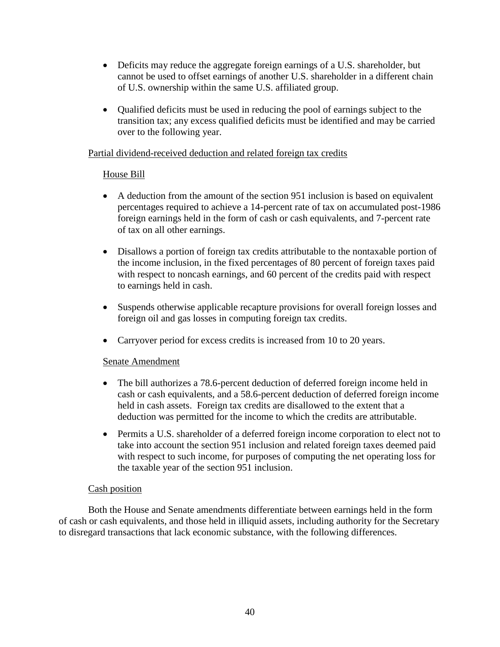- Deficits may reduce the aggregate foreign earnings of a U.S. shareholder, but cannot be used to offset earnings of another U.S. shareholder in a different chain of U.S. ownership within the same U.S. affiliated group.
- Qualified deficits must be used in reducing the pool of earnings subject to the transition tax; any excess qualified deficits must be identified and may be carried over to the following year.

## Partial dividend-received deduction and related foreign tax credits

### House Bill

- A deduction from the amount of the section 951 inclusion is based on equivalent percentages required to achieve a 14-percent rate of tax on accumulated post-1986 foreign earnings held in the form of cash or cash equivalents, and 7-percent rate of tax on all other earnings.
- Disallows a portion of foreign tax credits attributable to the nontaxable portion of the income inclusion, in the fixed percentages of 80 percent of foreign taxes paid with respect to noncash earnings, and 60 percent of the credits paid with respect to earnings held in cash.
- Suspends otherwise applicable recapture provisions for overall foreign losses and foreign oil and gas losses in computing foreign tax credits.
- Carryover period for excess credits is increased from 10 to 20 years.

### Senate Amendment

- The bill authorizes a 78.6-percent deduction of deferred foreign income held in cash or cash equivalents, and a 58.6-percent deduction of deferred foreign income held in cash assets. Foreign tax credits are disallowed to the extent that a deduction was permitted for the income to which the credits are attributable.
- Permits a U.S. shareholder of a deferred foreign income corporation to elect not to take into account the section 951 inclusion and related foreign taxes deemed paid with respect to such income, for purposes of computing the net operating loss for the taxable year of the section 951 inclusion.

### Cash position

Both the House and Senate amendments differentiate between earnings held in the form of cash or cash equivalents, and those held in illiquid assets, including authority for the Secretary to disregard transactions that lack economic substance, with the following differences.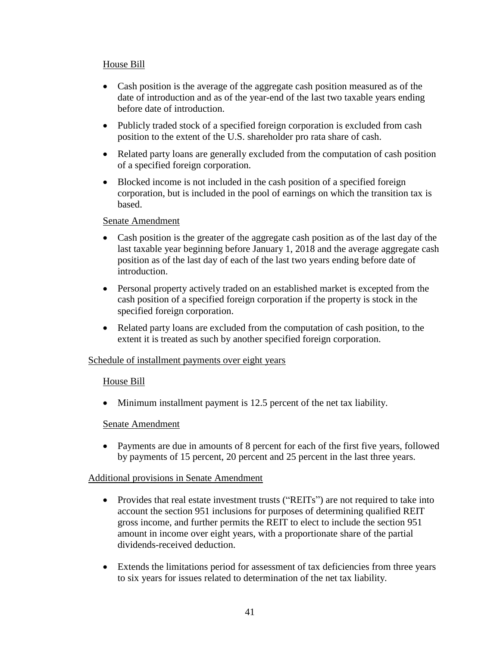## House Bill

- Cash position is the average of the aggregate cash position measured as of the date of introduction and as of the year-end of the last two taxable years ending before date of introduction.
- Publicly traded stock of a specified foreign corporation is excluded from cash position to the extent of the U.S. shareholder pro rata share of cash.
- Related party loans are generally excluded from the computation of cash position of a specified foreign corporation.
- Blocked income is not included in the cash position of a specified foreign corporation, but is included in the pool of earnings on which the transition tax is based.

### Senate Amendment

- Cash position is the greater of the aggregate cash position as of the last day of the last taxable year beginning before January 1, 2018 and the average aggregate cash position as of the last day of each of the last two years ending before date of introduction.
- Personal property actively traded on an established market is excepted from the cash position of a specified foreign corporation if the property is stock in the specified foreign corporation.
- Related party loans are excluded from the computation of cash position, to the extent it is treated as such by another specified foreign corporation.

### Schedule of installment payments over eight years

## House Bill

• Minimum installment payment is 12.5 percent of the net tax liability.

### Senate Amendment

 Payments are due in amounts of 8 percent for each of the first five years, followed by payments of 15 percent, 20 percent and 25 percent in the last three years.

### Additional provisions in Senate Amendment

- Provides that real estate investment trusts ("REITs") are not required to take into account the section 951 inclusions for purposes of determining qualified REIT gross income, and further permits the REIT to elect to include the section 951 amount in income over eight years, with a proportionate share of the partial dividends-received deduction.
- Extends the limitations period for assessment of tax deficiencies from three years to six years for issues related to determination of the net tax liability.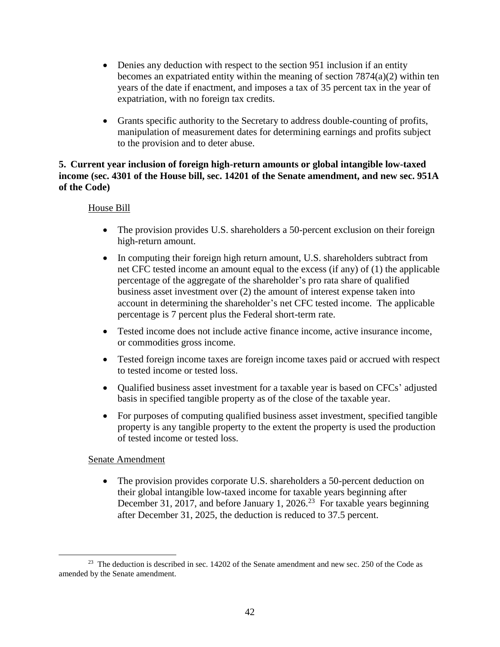- Denies any deduction with respect to the section 951 inclusion if an entity becomes an expatriated entity within the meaning of section 7874(a)(2) within ten years of the date if enactment, and imposes a tax of 35 percent tax in the year of expatriation, with no foreign tax credits.
- Grants specific authority to the Secretary to address double-counting of profits, manipulation of measurement dates for determining earnings and profits subject to the provision and to deter abuse.

## **5. Current year inclusion of foreign high-return amounts or global intangible low-taxed income (sec. 4301 of the House bill, sec. 14201 of the Senate amendment, and new sec. 951A of the Code)**

## House Bill

- The provision provides U.S. shareholders a 50-percent exclusion on their foreign high-return amount.
- In computing their foreign high return amount, U.S. shareholders subtract from net CFC tested income an amount equal to the excess (if any) of (1) the applicable percentage of the aggregate of the shareholder's pro rata share of qualified business asset investment over (2) the amount of interest expense taken into account in determining the shareholder's net CFC tested income. The applicable percentage is 7 percent plus the Federal short-term rate.
- Tested income does not include active finance income, active insurance income, or commodities gross income.
- Tested foreign income taxes are foreign income taxes paid or accrued with respect to tested income or tested loss.
- Qualified business asset investment for a taxable year is based on CFCs' adjusted basis in specified tangible property as of the close of the taxable year.
- For purposes of computing qualified business asset investment, specified tangible property is any tangible property to the extent the property is used the production of tested income or tested loss.

## Senate Amendment

 $\overline{a}$ 

• The provision provides corporate U.S. shareholders a 50-percent deduction on their global intangible low-taxed income for taxable years beginning after December 31, 2017, and before January 1, 2026.<sup>23</sup> For taxable years beginning after December 31, 2025, the deduction is reduced to 37.5 percent.

 $2<sup>23</sup>$  The deduction is described in sec. 14202 of the Senate amendment and new sec. 250 of the Code as amended by the Senate amendment.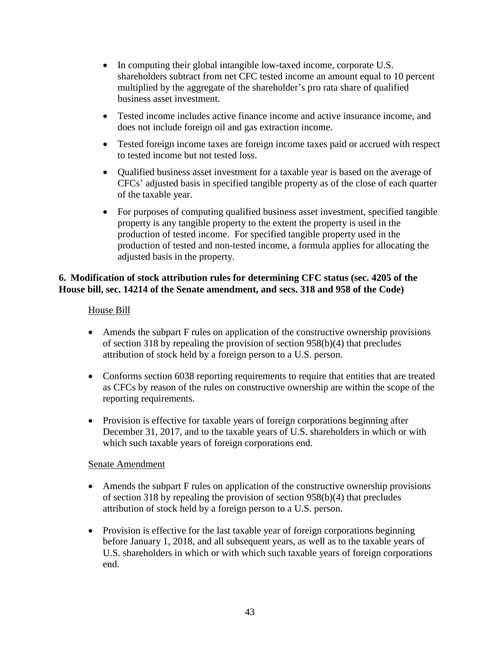- In computing their global intangible low-taxed income, corporate U.S. shareholders subtract from net CFC tested income an amount equal to 10 percent multiplied by the aggregate of the shareholder's pro rata share of qualified business asset investment.
- Tested income includes active finance income and active insurance income, and does not include foreign oil and gas extraction income.
- Tested foreign income taxes are foreign income taxes paid or accrued with respect to tested income but not tested loss.
- Oualified business asset investment for a taxable year is based on the average of CFCs' adjusted basis in specified tangible property as of the close of each quarter of the taxable year.
- For purposes of computing qualified business asset investment, specified tangible property is any tangible property to the extent the property is used in the production of tested income. For specified tangible property used in the production of tested and non-tested income, a formula applies for allocating the adjusted basis in the property.

# **6. Modification of stock attribution rules for determining CFC status (sec. 4205 of the House bill, sec. 14214 of the Senate amendment, and secs. 318 and 958 of the Code)**

## House Bill

- Amends the subpart F rules on application of the constructive ownership provisions of section 318 by repealing the provision of section 958(b)(4) that precludes attribution of stock held by a foreign person to a U.S. person.
- Conforms section 6038 reporting requirements to require that entities that are treated as CFCs by reason of the rules on constructive ownership are within the scope of the reporting requirements.
- Provision is effective for taxable years of foreign corporations beginning after December 31, 2017, and to the taxable years of U.S. shareholders in which or with which such taxable years of foreign corporations end.

- Amends the subpart F rules on application of the constructive ownership provisions of section 318 by repealing the provision of section 958(b)(4) that precludes attribution of stock held by a foreign person to a U.S. person.
- Provision is effective for the last taxable year of foreign corporations beginning before January 1, 2018, and all subsequent years, as well as to the taxable years of U.S. shareholders in which or with which such taxable years of foreign corporations end.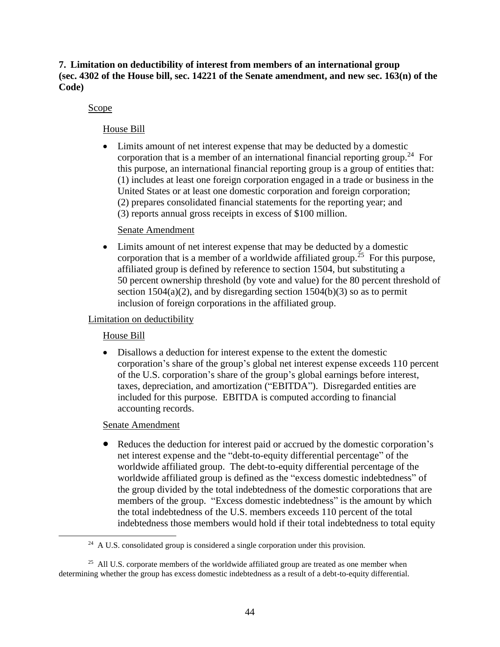**7. Limitation on deductibility of interest from members of an international group (sec. 4302 of the House bill, sec. 14221 of the Senate amendment, and new sec. 163(n) of the Code)**

### Scope

## House Bill

 Limits amount of net interest expense that may be deducted by a domestic corporation that is a member of an international financial reporting group.<sup>24</sup> For this purpose, an international financial reporting group is a group of entities that: (1) includes at least one foreign corporation engaged in a trade or business in the United States or at least one domestic corporation and foreign corporation; (2) prepares consolidated financial statements for the reporting year; and (3) reports annual gross receipts in excess of \$100 million.

### Senate Amendment

 Limits amount of net interest expense that may be deducted by a domestic corporation that is a member of a worldwide affiliated group.<sup>25</sup> For this purpose, affiliated group is defined by reference to section 1504, but substituting a 50 percent ownership threshold (by vote and value) for the 80 percent threshold of section  $1504(a)(2)$ , and by disregarding section  $1504(b)(3)$  so as to permit inclusion of foreign corporations in the affiliated group.

## Limitation on deductibility

## House Bill

 Disallows a deduction for interest expense to the extent the domestic corporation's share of the group's global net interest expense exceeds 110 percent of the U.S. corporation's share of the group's global earnings before interest, taxes, depreciation, and amortization ("EBITDA"). Disregarded entities are included for this purpose. EBITDA is computed according to financial accounting records.

### Senate Amendment

 $\overline{a}$ 

 Reduces the deduction for interest paid or accrued by the domestic corporation's net interest expense and the "debt-to-equity differential percentage" of the worldwide affiliated group. The debt-to-equity differential percentage of the worldwide affiliated group is defined as the "excess domestic indebtedness" of the group divided by the total indebtedness of the domestic corporations that are members of the group. "Excess domestic indebtedness" is the amount by which the total indebtedness of the U.S. members exceeds 110 percent of the total indebtedness those members would hold if their total indebtedness to total equity

<sup>&</sup>lt;sup>24</sup> A U.S. consolidated group is considered a single corporation under this provision.

 $25$  All U.S. corporate members of the worldwide affiliated group are treated as one member when determining whether the group has excess domestic indebtedness as a result of a debt-to-equity differential.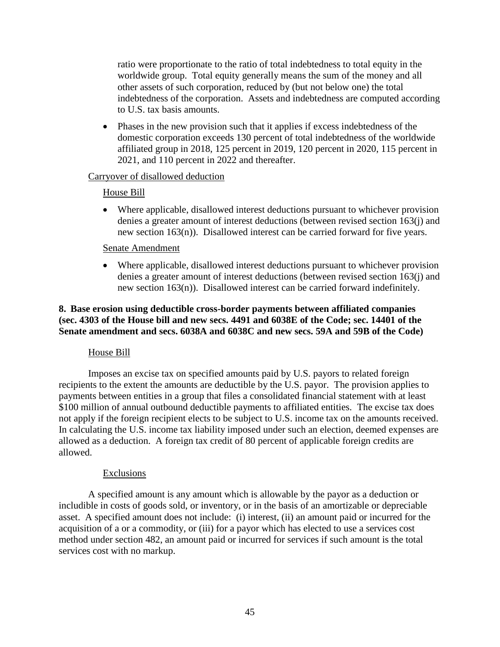ratio were proportionate to the ratio of total indebtedness to total equity in the worldwide group. Total equity generally means the sum of the money and all other assets of such corporation, reduced by (but not below one) the total indebtedness of the corporation. Assets and indebtedness are computed according to U.S. tax basis amounts.

 Phases in the new provision such that it applies if excess indebtedness of the domestic corporation exceeds 130 percent of total indebtedness of the worldwide affiliated group in 2018, 125 percent in 2019, 120 percent in 2020, 115 percent in 2021, and 110 percent in 2022 and thereafter.

#### Carryover of disallowed deduction

#### House Bill

 Where applicable, disallowed interest deductions pursuant to whichever provision denies a greater amount of interest deductions (between revised section 163(j) and new section 163(n)). Disallowed interest can be carried forward for five years.

#### Senate Amendment

 Where applicable, disallowed interest deductions pursuant to whichever provision denies a greater amount of interest deductions (between revised section 163(j) and new section 163(n)). Disallowed interest can be carried forward indefinitely.

### **8. Base erosion using deductible cross-border payments between affiliated companies (sec. 4303 of the House bill and new secs. 4491 and 6038E of the Code; sec. 14401 of the Senate amendment and secs. 6038A and 6038C and new secs. 59A and 59B of the Code)**

### House Bill

Imposes an excise tax on specified amounts paid by U.S. payors to related foreign recipients to the extent the amounts are deductible by the U.S. payor. The provision applies to payments between entities in a group that files a consolidated financial statement with at least \$100 million of annual outbound deductible payments to affiliated entities. The excise tax does not apply if the foreign recipient elects to be subject to U.S. income tax on the amounts received. In calculating the U.S. income tax liability imposed under such an election, deemed expenses are allowed as a deduction. A foreign tax credit of 80 percent of applicable foreign credits are allowed.

#### Exclusions

A specified amount is any amount which is allowable by the payor as a deduction or includible in costs of goods sold, or inventory, or in the basis of an amortizable or depreciable asset. A specified amount does not include: (i) interest, (ii) an amount paid or incurred for the acquisition of a or a commodity, or (iii) for a payor which has elected to use a services cost method under section 482, an amount paid or incurred for services if such amount is the total services cost with no markup.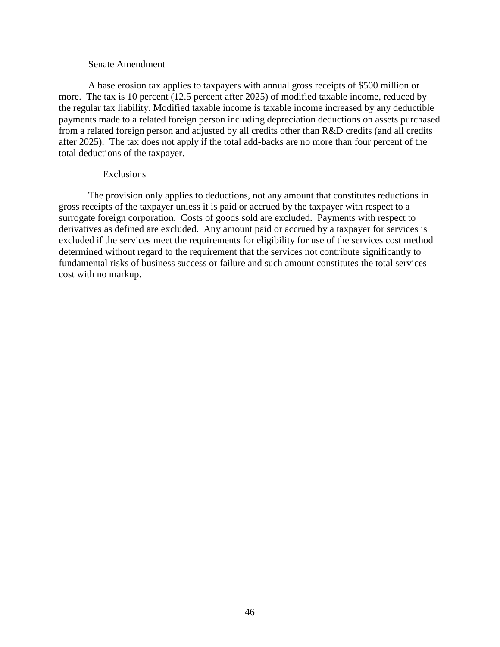A base erosion tax applies to taxpayers with annual gross receipts of \$500 million or more. The tax is 10 percent (12.5 percent after 2025) of modified taxable income, reduced by the regular tax liability. Modified taxable income is taxable income increased by any deductible payments made to a related foreign person including depreciation deductions on assets purchased from a related foreign person and adjusted by all credits other than R&D credits (and all credits after 2025). The tax does not apply if the total add-backs are no more than four percent of the total deductions of the taxpayer.

#### Exclusions

The provision only applies to deductions, not any amount that constitutes reductions in gross receipts of the taxpayer unless it is paid or accrued by the taxpayer with respect to a surrogate foreign corporation. Costs of goods sold are excluded. Payments with respect to derivatives as defined are excluded. Any amount paid or accrued by a taxpayer for services is excluded if the services meet the requirements for eligibility for use of the services cost method determined without regard to the requirement that the services not contribute significantly to fundamental risks of business success or failure and such amount constitutes the total services cost with no markup.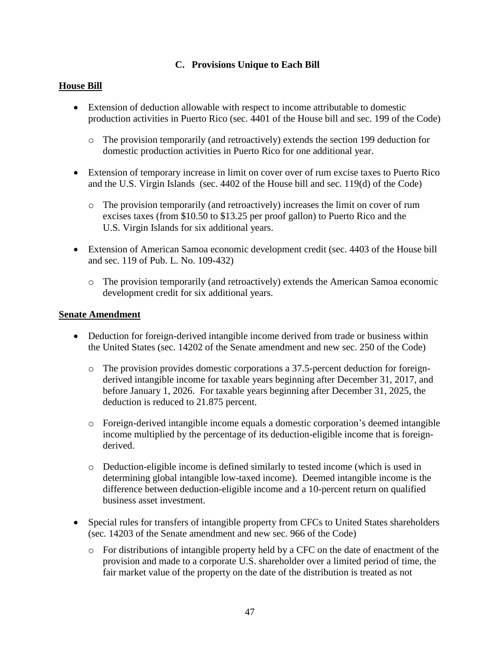# **C. Provisions Unique to Each Bill**

## **House Bill**

- Extension of deduction allowable with respect to income attributable to domestic production activities in Puerto Rico (sec. 4401 of the House bill and sec. 199 of the Code)
	- o The provision temporarily (and retroactively) extends the section 199 deduction for domestic production activities in Puerto Rico for one additional year.
- Extension of temporary increase in limit on cover over of rum excise taxes to Puerto Rico and the U.S. Virgin Islands (sec. 4402 of the House bill and sec. 119(d) of the Code)
	- o The provision temporarily (and retroactively) increases the limit on cover of rum excises taxes (from \$10.50 to \$13.25 per proof gallon) to Puerto Rico and the U.S. Virgin Islands for six additional years.
- Extension of American Samoa economic development credit (sec. 4403 of the House bill and sec. 119 of Pub. L. No. 109-432)
	- o The provision temporarily (and retroactively) extends the American Samoa economic development credit for six additional years.

- Deduction for foreign-derived intangible income derived from trade or business within the United States (sec. 14202 of the Senate amendment and new sec. 250 of the Code)
	- o The provision provides domestic corporations a 37.5-percent deduction for foreignderived intangible income for taxable years beginning after December 31, 2017, and before January 1, 2026. For taxable years beginning after December 31, 2025, the deduction is reduced to 21.875 percent.
	- o Foreign-derived intangible income equals a domestic corporation's deemed intangible income multiplied by the percentage of its deduction-eligible income that is foreignderived.
	- o Deduction-eligible income is defined similarly to tested income (which is used in determining global intangible low-taxed income). Deemed intangible income is the difference between deduction-eligible income and a 10-percent return on qualified business asset investment.
- Special rules for transfers of intangible property from CFCs to United States shareholders (sec. 14203 of the Senate amendment and new sec. 966 of the Code)
	- $\circ$  For distributions of intangible property held by a CFC on the date of enactment of the provision and made to a corporate U.S. shareholder over a limited period of time, the fair market value of the property on the date of the distribution is treated as not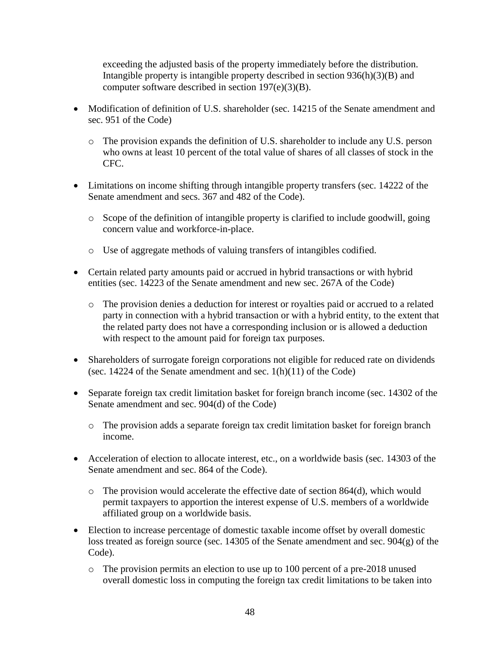exceeding the adjusted basis of the property immediately before the distribution. Intangible property is intangible property described in section 936(h)(3)(B) and computer software described in section 197(e)(3)(B).

- Modification of definition of U.S. shareholder (sec. 14215 of the Senate amendment and sec. 951 of the Code)
	- o The provision expands the definition of U.S. shareholder to include any U.S. person who owns at least 10 percent of the total value of shares of all classes of stock in the CFC.
- Limitations on income shifting through intangible property transfers (sec. 14222 of the Senate amendment and secs. 367 and 482 of the Code).
	- o Scope of the definition of intangible property is clarified to include goodwill, going concern value and workforce-in-place.
	- o Use of aggregate methods of valuing transfers of intangibles codified.
- Certain related party amounts paid or accrued in hybrid transactions or with hybrid entities (sec. 14223 of the Senate amendment and new sec. 267A of the Code)
	- o The provision denies a deduction for interest or royalties paid or accrued to a related party in connection with a hybrid transaction or with a hybrid entity, to the extent that the related party does not have a corresponding inclusion or is allowed a deduction with respect to the amount paid for foreign tax purposes.
- Shareholders of surrogate foreign corporations not eligible for reduced rate on dividends (sec. 14224 of the Senate amendment and sec.  $1(h)(11)$  of the Code)
- Separate foreign tax credit limitation basket for foreign branch income (sec. 14302 of the Senate amendment and sec. 904(d) of the Code)
	- o The provision adds a separate foreign tax credit limitation basket for foreign branch income.
- Acceleration of election to allocate interest, etc., on a worldwide basis (sec. 14303 of the Senate amendment and sec. 864 of the Code).
	- $\circ$  The provision would accelerate the effective date of section 864(d), which would permit taxpayers to apportion the interest expense of U.S. members of a worldwide affiliated group on a worldwide basis.
- Election to increase percentage of domestic taxable income offset by overall domestic loss treated as foreign source (sec. 14305 of the Senate amendment and sec. 904(g) of the Code).
	- o The provision permits an election to use up to 100 percent of a pre-2018 unused overall domestic loss in computing the foreign tax credit limitations to be taken into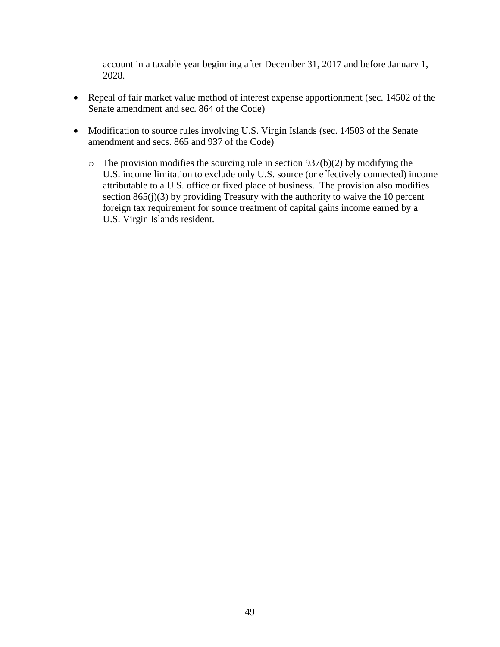account in a taxable year beginning after December 31, 2017 and before January 1, 2028.

- Repeal of fair market value method of interest expense apportionment (sec. 14502 of the Senate amendment and sec. 864 of the Code)
- Modification to source rules involving U.S. Virgin Islands (sec. 14503 of the Senate amendment and secs. 865 and 937 of the Code)
	- $\circ$  The provision modifies the sourcing rule in section 937(b)(2) by modifying the U.S. income limitation to exclude only U.S. source (or effectively connected) income attributable to a U.S. office or fixed place of business. The provision also modifies section  $865(j)(3)$  by providing Treasury with the authority to waive the 10 percent foreign tax requirement for source treatment of capital gains income earned by a U.S. Virgin Islands resident.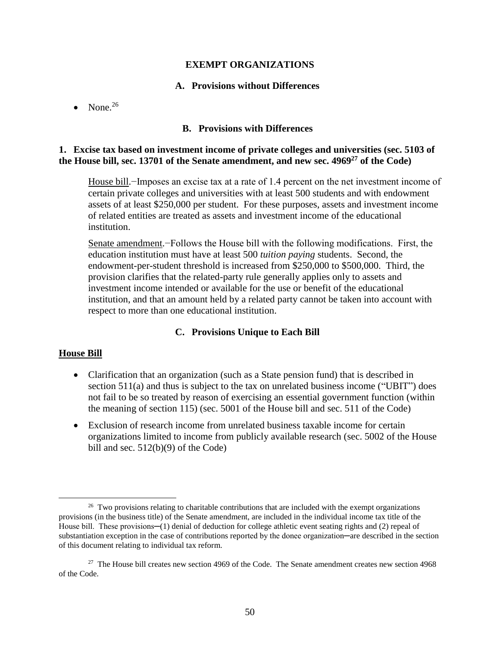### **EXEMPT ORGANIZATIONS**

#### **A. Provisions without Differences**

• None. $^{26}$ 

#### **B. Provisions with Differences**

### **1. Excise tax based on investment income of private colleges and universities (sec. 5103 of the House bill, sec. 13701 of the Senate amendment, and new sec. 4969<sup>27</sup> of the Code)**

House bill.−Imposes an excise tax at a rate of 1.4 percent on the net investment income of certain private colleges and universities with at least 500 students and with endowment assets of at least \$250,000 per student. For these purposes, assets and investment income of related entities are treated as assets and investment income of the educational institution.

Senate amendment.−Follows the House bill with the following modifications. First, the education institution must have at least 500 *tuition paying* students. Second, the endowment-per-student threshold is increased from \$250,000 to \$500,000. Third, the provision clarifies that the related-party rule generally applies only to assets and investment income intended or available for the use or benefit of the educational institution, and that an amount held by a related party cannot be taken into account with respect to more than one educational institution.

### **C. Provisions Unique to Each Bill**

### **House Bill**

- Clarification that an organization (such as a State pension fund) that is described in section 511(a) and thus is subject to the tax on unrelated business income ("UBIT") does not fail to be so treated by reason of exercising an essential government function (within the meaning of section 115) (sec. 5001 of the House bill and sec. 511 of the Code)
- Exclusion of research income from unrelated business taxable income for certain organizations limited to income from publicly available research (sec. 5002 of the House bill and sec.  $512(b)(9)$  of the Code)

 $26$  Two provisions relating to charitable contributions that are included with the exempt organizations provisions (in the business title) of the Senate amendment, are included in the individual income tax title of the House bill. These provisions—(1) denial of deduction for college athletic event seating rights and (2) repeal of substantiation exception in the case of contributions reported by the donee organization—are described in the section of this document relating to individual tax reform.

<sup>&</sup>lt;sup>27</sup> The House bill creates new section 4969 of the Code. The Senate amendment creates new section 4968 of the Code.